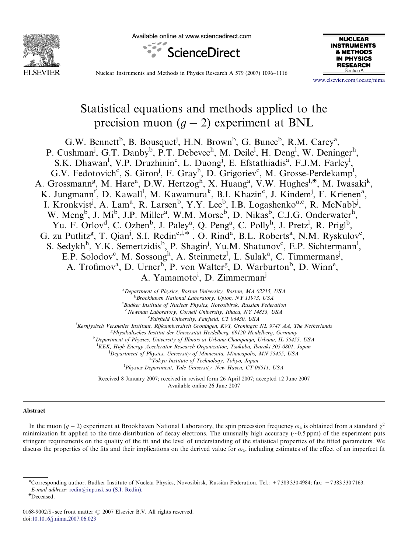

Available online at www.sciencedirect.com





Nuclear Instruments and Methods in Physics Research A 579 (2007) 1096–1116

<www.elsevier.com/locate/nima>

# Statistical equations and methods applied to the precision muon  $(g - 2)$  experiment at BNL

G.W. Bennett<sup>b</sup>, B. Bousquet<sup>j</sup>, H.N. Brown<sup>b</sup>, G. Bunce<sup>b</sup>, R.M. Carey<sup>a</sup>, P. Cushman<sup>j</sup>, G.T. Danby<sup>b</sup>, P.T. Debevec<sup>h</sup>, M. Deile<sup>l</sup>, H. Deng<sup>l</sup>, W. Deninger<sup>h</sup>, S.K. Dhawan<sup>1</sup>, V.P. Druzhinin<sup>c</sup>, L. Duong<sup>j</sup>, E. Efstathiadis<sup>a</sup>, F.J.M. Farley<sup>1</sup>, G.V. Fedotovich<sup>c</sup>, S. Giron<sup>j</sup>, F. Gray<sup>h</sup>, D. Grigoriev<sup>c</sup>, M. Grosse-Perdekamp<sup>1</sup>, A. Grossmann<sup>g</sup>, M. Hare<sup>a</sup>, D.W. Hertzog<sup>h</sup>, X. Huang<sup>a</sup>, V.W. Hughes<sup>l,\*</sup>, M. Iwasaki<sup>k</sup>, K. Jungmann<sup>f</sup>, D. Kawall<sup>l</sup>, M. Kawamura<sup>k</sup>, B.I. Khazin<sup>c</sup>, J. Kindem<sup>j</sup>, F. Krienen<sup>a</sup>, I. Kronkvist<sup>j</sup>, A. Lam<sup>a</sup>, R. Larsen<sup>b</sup>, Y.Y. Lee<sup>b</sup>, I.B. Logashenko<sup>a,c</sup>, R. McNabb<sup>j</sup>, W. Meng<sup>b</sup>, J. Mi<sup>b</sup>, J.P. Miller<sup>a</sup>, W.M. Morse<sup>b</sup>, D. Nikas<sup>b</sup>, C.J.G. Onderwater<sup>h</sup>, Yu. F. Orlov<sup>d</sup>, C. Ozben<sup>b</sup>, J. Paley<sup>a</sup>, Q. Peng<sup>a</sup>, C. Polly<sup>h</sup>, J. Pretz<sup>l</sup>, R. Prigl<sup>b</sup>, G. zu Putlitz<sup>g</sup>, T. Qian<sup>j</sup>, S.I. Redin<sup>c, I,\*</sup>, O. Rind<sup>a</sup>, B.L. Roberts<sup>a</sup>, N.M. Ryskulov<sup>c</sup>, S. Sedykh<sup>h</sup>, Y.K. Semertzidis<sup>b</sup>, P. Shagin<sup>j</sup>, Yu.M. Shatunov<sup>c</sup>, E.P. Sichtermann<sup>1</sup>, E.P. Solodov<sup>c</sup>, M. Sossong<sup>h</sup>, A. Steinmetz<sup>l</sup>, L. Sulak<sup>a</sup>, C. Timmermans<sup>j</sup>, A. Trofimov<sup>a</sup>, D. Urner<sup>h</sup>, P. von Walter<sup>g</sup>, D. Warburton<sup>b</sup>, D. Winn<sup>e</sup>, A. Yamamoto<sup>i</sup>, D. Zimmerman<sup>j</sup>

> <sup>a</sup>Department of Physics, Boston University, Boston, MA 02215, USA **Brookhaven National Laboratory, Upton, NY 11973, USA** c Budker Institute of Nuclear Physics, Novosibirsk, Russian Federation <sup>d</sup>Newman Laboratory, Cornell University, Ithaca, NY 14853, USA <sup>e</sup> Fairfield University, Fairfield, CT 06430, USA

<sup>f</sup> Kernfysisch Versneller Instituut, Rijksuniversiteit Groningen, KVI, Groningen NL 9747 AA, The Netherlands

<sup>g</sup> Physikalisches Institut der Universität Heidelberg, 69120 Heidelberg, Germany<br><sup>h</sup> Department of Physics, University of Illinois at Urbang Champaign, Urbang, H. 5545

<sup>h</sup>Department of Physics, University of Illinois at Urbana-Champaign, Urbana, IL 55455, USA

<sup>i</sup>KEK, High Energy Accelerator Research Organization, Tsukuba, Ibaraki 305-0801, Japan

<sup>i</sup>Department of Physics, University of Minnesota, Minneapolis, MN 55455, USA

k Tokyo Institute of Technology, Tokyo, Japan

<sup>1</sup>Physics Department, Yale University, New Haven, CT 06511, USA

Received 8 January 2007; received in revised form 26 April 2007; accepted 12 June 2007 Available online 26 June 2007

### Abstract

In the muon  $(g-2)$  experiment at Brookhaven National Laboratory, the spin precession frequency  $\omega_a$  is obtained from a standard  $\chi^2$ minimization fit applied to the time distribution of decay electrons. The unusually high accuracy  $(\sim 0.5$  ppm) of the experiment puts stringent requirements on the quality of the fit and the level of understanding of the statistical properties of the fitted parameters. We discuss the properties of the fits and their implications on the derived value for  $\omega_a$ , including estimates of the effect of an imperfect fit

<sup>\*</sup>Corresponding author. Budker Institute of Nuclear Physics, Novosibirsk, Russian Federation. Tel.: +7383 330 4984; fax: +7383 330 7163.

E-mail address: [redin@inp.nsk.su \(S.I. Redin\).](mailto:redin@inp.nsk.su)

<sup>{</sup>Deceased.

<sup>0168-9002/\$ -</sup> see front matter  $\odot$  2007 Elsevier B.V. All rights reserved. doi:[10.1016/j.nima.2007.06.023](dx.doi.org/10.1016/j.nima.2007.06.023)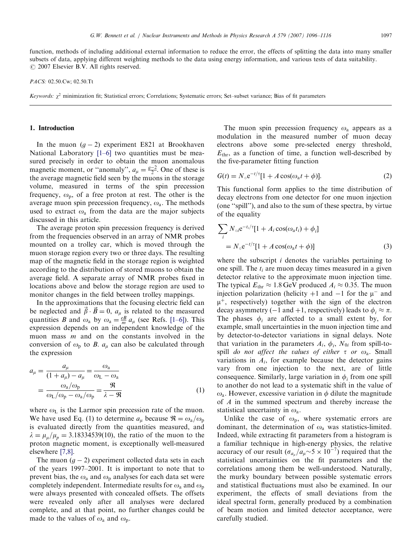function, methods of including additional external information to reduce the error, the effects of splitting the data into many smaller subsets of data, applying different weighting methods to the data using energy information, and various tests of data suitability.  $\odot$  2007 Elsevier B.V. All rights reserved.

PACS: 02.50.Cw; 02.50.Tt

Keywords:  $\chi^2$  minimization fit; Statistical errors; Correlations; Systematic errors; Set–subset variance; Bias of fit parameters

### 1. Introduction

In the muon  $(g - 2)$  experiment E821 at Brookhaven National Laboratory [\[1–6\]](#page-20-0) two quantities must be measured precisely in order to obtain the muon anomalous magnetic moment, or "anomaly",  $a_{\mu} = \frac{g-2}{2}$ . One of these is the average magnetic field seen by the muons in the storage volume, measured in terms of the spin precession frequency,  $\omega_p$ , of a free proton at rest. The other is the average muon spin precession frequency,  $\omega_a$ . The methods used to extract  $\omega_a$  from the data are the major subjects discussed in this article.

The average proton spin precession frequency is derived from the frequencies observed in an array of NMR probes mounted on a trolley car, which is moved through the muon storage region every two or three days. The resulting map of the magnetic field in the storage region is weighted according to the distribution of stored muons to obtain the average field. A separate array of NMR probes fixed in locations above and below the storage region are used to monitor changes in the field between trolley mappings.

In the approximations that the focusing electric field can be neglected and  $\vec{\beta} \cdot \vec{B} = 0$ ,  $a_{\mu}$  is related to the measured quantities B and  $\omega_a$  by  $\omega_a = \frac{e}{m} a_\mu$  (see Refs. [\[1–6\]\)](#page-20-0). This expression depends on an independent knowledge of the muon mass  $m$  and on the constants involved in the conversion of  $\omega_p$  to B.  $a_\mu$  can also be calculated through the expression

$$
a_{\mu} = \frac{a_{\mu}}{(1 + a_{\mu}) - a_{\mu}} = \frac{\omega_{a}}{\omega_{L} - \omega_{a}}
$$
  
= 
$$
\frac{\omega_{a}/\omega_{p}}{\omega_{L}/\omega_{p} - \omega_{a}/\omega_{p}} = \frac{\Re}{\lambda - \Re}
$$
 (1)

where  $\omega_{\rm L}$  is the Larmor spin precession rate of the muon. We have used Eq. (1) to determine  $a_{\mu}$  because  $\Re = \omega_a/\omega_p$ is evaluated directly from the quantities measured, and  $\lambda = \mu_u / \mu_p = 3.18334539(10)$ , the ratio of the muon to the proton magnetic moment, is exceptionally well-measured elsewhere [\[7,8\]](#page-20-0).

The muon  $(g - 2)$  experiment collected data sets in each of the years 1997–2001. It is important to note that to prevent bias, the  $\omega_a$  and  $\omega_p$  analyses for each data set were completely independent. Intermediate results for  $\omega_a$  and  $\omega_p$ were always presented with concealed offsets. The offsets were revealed only after all analyses were declared complete, and at that point, no further changes could be made to the values of  $\omega_a$  and  $\omega_p$ .

The muon spin precession frequency  $\omega_a$  appears as a modulation in the measured number of muon decay electrons above some pre-selected energy threshold,  $E<sub>thr</sub>$ , as a function of time, a function well-described by the five-parameter fitting function

$$
G(t) = N_{\circ} e^{-t/\tau} [1 + A \cos(\omega_a t + \phi)]. \tag{2}
$$

This functional form applies to the time distribution of decay electrons from one detector for one muon injection (one ''spill''), and also to the sum of these spectra, by virtue of the equality

$$
\sum_{i} N_{\circ i} e^{-t_i/\tau} [1 + A_i \cos(\omega_a t_i) + \phi_i]
$$
  
=  $N_{\circ} e^{-t/\tau} [1 + A \cos(\omega_a t + \phi)]$  (3)

where the subscript  $i$  denotes the variables pertaining to one spill. The  $t_i$  are muon decay times measured in a given detector relative to the approximate muon injection time. The typical  $E_{\text{thr}} \approx 1.8 \,\text{GeV}$  produced  $A_i \approx 0.35$ . The muon injection polarization (helicity  $+1$  and  $-1$  for the  $\mu^-$  and  $\mu^{+}$ , respectively) together with the sign of the electron decay asymmetry (-1 and +1, respectively) leads to  $\phi_i \approx \pi$ . The phases  $\phi_i$  are affected to a small extent by, for example, small uncertainties in the muon injection time and by detector-to-detector variations in signal delays. Note that variation in the parameters  $A_i$ ,  $\phi_i$ ,  $N_{0i}$  from spill-tospill do not affect the values of either  $\tau$  or  $\omega_a$ . Small variations in  $A_i$ , for example because the detector gains vary from one injection to the next, are of little consequence. Similarly, large variation in  $\phi_i$  from one spill to another do not lead to a systematic shift in the value of  $\omega_a$ . However, excessive variation in  $\phi$  dilute the magnitude of A in the summed spectrum and thereby increase the statistical uncertainty in  $\omega_a$ .

Unlike the case of  $\omega_p$ , where systematic errors are dominant, the determination of  $\omega_a$  was statistics-limited. Indeed, while extracting fit parameters from a histogram is a familiar technique in high-energy physics, the relative accuracy of our result  $(\sigma_{a_\mu}/a_\mu \sim 5 \times 10^{-7})$  required that the statistical uncertainties on the fit parameters and the correlations among them be well-understood. Naturally, the murky boundary between possible systematic errors and statistical fluctuations must also be examined. In our experiment, the effects of small deviations from the ideal spectral form, generally produced by a combination of beam motion and limited detector acceptance, were carefully studied.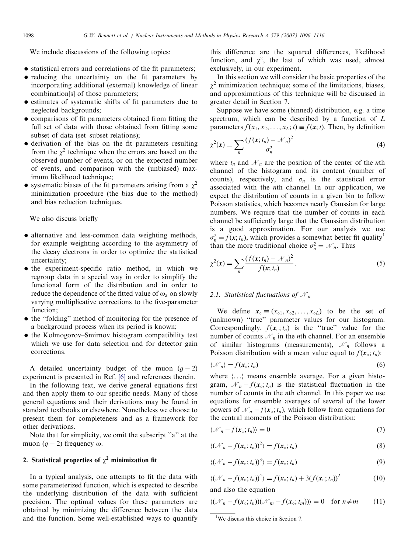We include discussions of the following topics:

- statistical errors and correlations of the fit parameters;
- reducing the uncertainty on the fit parameters by incorporating additional (external) knowledge of linear combination[s] of those parameters;
- estimates of systematic shifts of fit parameters due to neglected backgrounds;
- comparisons of fit parameters obtained from fitting the full set of data with those obtained from fitting some subset of data (set–subset relations);
- derivation of the bias on the fit parameters resulting from the  $\chi^2$  technique when the errors are based on the observed number of events, or on the expected number of events, and comparison with the (unbiased) maximum likelihood technique;
- systematic biases of the fit parameters arising from a  $\chi^2$ minimization procedure (the bias due to the method) and bias reduction techniques.

### We also discuss briefly

- alternative and less-common data weighting methods, for example weighting according to the asymmetry of the decay electrons in order to optimize the statistical uncertainty;
- the experiment-specific ratio method, in which we regroup data in a special way in order to simplify the functional form of the distribution and in order to reduce the dependence of the fitted value of  $\omega_a$  on slowly varying multiplicative corrections to the five-parameter function;
- the "folding" method of monitoring for the presence of a background process when its period is known;
- $\bullet$  the Kolmogorov–Smirnov histogram compatibility test which we use for data selection and for detector gain corrections.

A detailed uncertainty budget of the muon  $(g - 2)$ experiment is presented in Ref. [\[6\]](#page-20-0) and references therein.

In the following text, we derive general equations first and then apply them to our specific needs. Many of those general equations and their derivations may be found in standard textbooks or elsewhere. Nonetheless we choose to present them for completeness and as a framework for other derivations.

Note that for simplicity, we omit the subscript ''a'' at the muon  $(g - 2)$  frequency  $\omega$ .

# 2. Statistical properties of  $\chi^2$  minimization fit

In a typical analysis, one attempts to fit the data with some parameterized function, which is expected to describe the underlying distribution of the data with sufficient precision. The optimal values for these parameters are obtained by minimizing the difference between the data and the function. Some well-established ways to quantify

this difference are the squared differences, likelihood function, and  $\chi^2$ , the last of which was used, almost exclusively, in our experiment.

In this section we will consider the basic properties of the  $\chi^2$  minimization technique; some of the limitations, biases, and approximations of this technique will be discussed in greater detail in Section 7.

Suppose we have some (binned) distribution, e.g. a time spectrum, which can be described by a function of L parameters  $f(x_1, x_2, \ldots, x_L; t) \equiv f(\mathbf{x}; t)$ . Then, by definition

$$
\chi^2(\mathbf{x}) \equiv \sum_n \frac{(f(\mathbf{x}; t_n) - \mathcal{N}_n)^2}{\sigma_n^2} \tag{4}
$$

where  $t_n$  and  $\mathcal{N}_n$  are the position of the center of the *n*th channel of the histogram and its content (number of counts), respectively, and  $\sigma_n$  is the statistical error associated with the nth channel. In our application, we expect the distribution of counts in a given bin to follow Poisson statistics, which becomes nearly Gaussian for large numbers. We require that the number of counts in each channel be sufficiently large that the Gaussian distribution is a good approximation. For our analysis we use  $\sigma_n^2 = f(\mathbf{x}; t_n)$ , which provides a somewhat better fit quality<sup>1</sup> than the more traditional choice  $\sigma_n^2 = \mathcal{N}_n$ . Thus

$$
\chi^2(\mathbf{x}) = \sum_{n} \frac{(f(\mathbf{x}; t_n) - \mathcal{N}_n)^2}{f(\mathbf{x}; t_n)}.
$$
\n(5)

### 2.1. Statistical fluctuations of  $\mathcal{N}_n$

We define  $\mathbf{x}_{\circ} \equiv (x_{\circ 1}, x_{\circ 2}, \dots, x_{\circ L})$  to be the set of (unknown) ''true'' parameter values for our histogram. Correspondingly,  $f(\mathbf{x}_0; t_n)$  is the "true" value for the number of counts  $\mathcal{N}_n$  in the *n*th channel. For an ensemble of similar histograms (measurements),  $\mathcal{N}_n$  follows a Poisson distribution with a mean value equal to  $f(\mathbf{x}_0; t_n)$ :

$$
\langle \mathcal{N}_n \rangle = f(\mathbf{x}_\circ; t_n) \tag{6}
$$

where  $\langle \ldots \rangle$  means ensemble average. For a given histogram,  $\mathcal{N}_n - f(\mathbf{x}_0; t_n)$  is the statistical fluctuation in the number of counts in the *n*th channel. In this paper we use equations for ensemble averages of several of the lower powers of  $\mathcal{N}_n - f(\mathbf{x}_0; t_n)$ , which follow from equations for the central moments of the Poisson distribution:

$$
\langle \mathcal{N}_n - f(\mathbf{x}_\circ; t_n) \rangle = 0 \tag{7}
$$

$$
\langle (\mathcal{N}_n - f(\mathbf{x}_\circ; t_n))^2 \rangle = f(\mathbf{x}_\circ; t_n) \tag{8}
$$

$$
\langle (\mathcal{N}_n - f(\mathbf{x}_\circ; t_n))^3 \rangle = f(\mathbf{x}_\circ; t_n) \tag{9}
$$

$$
\langle (\mathcal{N}_n - f(\mathbf{x}_\circ; t_n))^4 \rangle = f(\mathbf{x}_\circ; t_n) + 3(f(\mathbf{x}_\circ; t_n))^2 \tag{10}
$$

and also the equation

$$
\langle (\mathcal{N}_n - f(\mathbf{x}_\circ; t_n))(\mathcal{N}_m - f(\mathbf{x}_\circ; t_m)) \rangle = 0 \quad \text{for } n \neq m \tag{11}
$$

<sup>&</sup>lt;sup>1</sup>We discuss this choice in Section 7.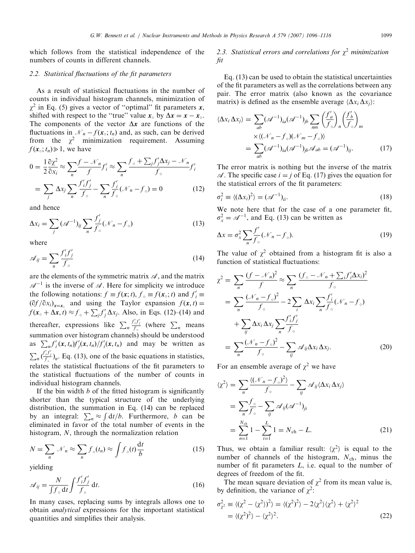which follows from the statistical independence of the numbers of counts in different channels.

# 2.2. Statistical fluctuations of the fit parameters

As a result of statistical fluctuations in the number of counts in individual histogram channels, minimization of  $\chi^2$  in Eq. (5) gives a vector of "optimal" fit parameters x, shifted with respect to the "true" value  $x_0$  by  $\Delta x = x - x_0$ . The components of the vector  $\Delta x$  are functions of the fluctuations in  $\mathcal{N}_n - f(\mathbf{x}_\circ; t_n)$  and, as such, can be derived from the  $\chi^2$  minimization requirement. Assuming  $f(\mathbf{x}_0; t_n) \geq 1$ , we have

$$
0 = \frac{1}{2} \frac{\partial \chi^2}{\partial x_i} \approx \sum_n \frac{f - \mathcal{N}_n}{f} f'_i \approx \sum_n \frac{f_{\circ} + \sum_j f'_j \Delta x_j - \mathcal{N}_n}{f_{\circ}} f'_i
$$
  
= 
$$
\sum_j \Delta x_j \sum_n \frac{f'_i f'_j}{f_{\circ}} - \sum_n \frac{f'_i}{f_{\circ}} (\mathcal{N}_n - f_{\circ}) = 0
$$
 (12)

and hence

$$
\Delta x_i = \sum_j (\mathcal{A}^{-1})_{ij} \sum_n \frac{f'_j}{f_\circ} (\mathcal{N}_n - f_\circ) \tag{13}
$$

where

$$
\mathcal{A}_{ij} = \sum_{n} \frac{f'_i f'_j}{f_{\circ}}
$$
\n(14)

are the elements of the symmetric matrix  $\mathscr A$ , and the matrix  $\mathscr{A}^{-1}$  is the inverse of  $\mathscr{A}$ . Here for simplicity we introduce the following notations:  $f \equiv f(\mathbf{x}; t)$ ,  $f_{\circ} \equiv f(\mathbf{x}; t)$  and  $f'_{i} \equiv$  $\left(\frac{\partial f}{\partial x_i}\right)_{x=x_0}$  and using the Taylor expansion  $f(x, t) =$  $f(\mathbf{x}_0 + \Delta \mathbf{x}, t) \approx f_0 + \sum_j f_j' \Delta x_j$ . Also, in Eqs. (12)–(14) and thereafter, expressions like  $\sum_n$  $\frac{f'_i f'_j}{f_{\circ}}$  (where  $\sum_n$  means summation over histogram channels) should be understood as  $\sum_{n} f'_i(\mathbf{x}, t_n) f'_j(\mathbf{x}, t_n) / f'_i(\mathbf{x}, t_n)$  and may be written as  $\sum_{n} \left(\frac{f'_{i}f'_{j}}{f_{\circ}}\right)_{n}$ . Eq. (13), one of the basic equations in statistics, relates the statistical fluctuations of the fit parameters to the statistical fluctuations of the number of counts in individual histogram channels.

If the bin width  $b$  of the fitted histogram is significantly shorter than the typical structure of the underlying distribution, the summation in Eq. (14) can be replaced by an integral:  $\sum_n \approx \int dt/b$ . Furthermore, b can be eliminated in favor of the total number of events in the histogram, N, through the normalization relation

$$
N = \sum_{n} \mathcal{N}_{n} \approx \sum_{n} f_{\circ}(t_{n}) \approx \int f_{\circ}(t) \frac{\mathrm{d}t}{b} \tag{15}
$$

yielding

$$
\mathscr{A}_{ij} = \frac{N}{\int f_{\circ} \, \mathrm{d}t} \int \frac{f'_i f'_j}{f_{\circ}} \, \mathrm{d}t. \tag{16}
$$

In many cases, replacing sums by integrals allows one to obtain analytical expressions for the important statistical quantities and simplifies their analysis.

# 2.3. Statistical errors and correlations for  $\chi^2$  minimization fit

Eq. (13) can be used to obtain the statistical uncertainties of the fit parameters as well as the correlations between any pair. The error matrix (also known as the covariance matrix) is defined as the ensemble average  $\langle \Delta x_i \Delta x_j \rangle$ :

$$
\langle \Delta x_i \, \Delta x_j \rangle = \sum_{ab} (\mathscr{A}^{-1})_{ia} (\mathscr{A}^{-1})_{jb} \sum_{nm} \left( \frac{f'_a}{f_\circ} \right)_n \left( \frac{f'_b}{f_\circ} \right)_m
$$

$$
= \sum_{ab} (\mathscr{A}^{-1})_{ia} (\mathscr{A}^{-1})_{jb} \mathscr{A}_{ab} = (\mathscr{A}^{-1})_{ij}.
$$
 (17)

The error matrix is nothing but the inverse of the matrix  $\mathcal{A}$ . The specific case  $i = j$  of Eq. (17) gives the equation for the statistical errors of the fit parameters:

$$
\sigma_i^2 \equiv \langle (\Delta x_i)^2 \rangle = (\mathcal{A}^{-1})_{ii}.
$$
\n(18)

We note here that for the case of a one parameter fit,  $\sigma_x^2 = \mathcal{A}^{-1}$ , and Eq. (13) can be written as

$$
\Delta x = \sigma_x^2 \sum_{n} \frac{f'}{f_{\circ}} (\mathcal{N}_n - f_{\circ}). \tag{19}
$$

The value of  $\chi^2$  obtained from a histogram fit is also a function of statistical fluctuations:

$$
\chi^{2} = \sum_{n} \frac{(f - \mathcal{N}_{n})^{2}}{f} \approx \sum_{n} \frac{(f_{\circ} - \mathcal{N}_{n} + \sum_{i} f'_{i} \Delta x_{i})^{2}}{f_{\circ}}
$$
  
\n
$$
= \sum_{n} \frac{(\mathcal{N}_{n} - f_{\circ})^{2}}{f_{\circ}} - 2 \sum_{i} \Delta x_{i} \sum_{n} \frac{f'_{i}}{f_{\circ}} (\mathcal{N}_{n} - f_{\circ})
$$
  
\n
$$
+ \sum_{ij} \Delta x_{i} \Delta x_{j} \sum_{n} \frac{f'_{i} f'_{j}}{f_{\circ}}
$$
  
\n
$$
= \sum_{n} \frac{(\mathcal{N}_{n} - f_{\circ})^{2}}{f_{\circ}} - \sum_{ij} \mathcal{A}_{ij} \Delta x_{i} \Delta x_{j}.
$$
 (20)

For an ensemble average of  $\chi^2$  we have

$$
\langle \chi^2 \rangle = \sum_n \frac{\langle (\mathcal{N}_n - f_\circ)^2 \rangle}{f_\circ} - \sum_{ij} \mathcal{A}_{ij} \langle \Delta x_i \Delta x_j \rangle
$$
  
= 
$$
\sum_n \frac{f_\circ}{f_\circ} - \sum_{ij} \mathcal{A}_{ij} (\mathcal{A}^{-1})_{ji}
$$
  
= 
$$
\sum_{n=1}^{N_{\text{ch}}} 1 - \sum_{i=1}^L 1 = N_{\text{ch}} - L.
$$
 (21)

Thus, we obtain a familiar result:  $\langle \chi^2 \rangle$  is equal to the number of channels of the histogram,  $N_{ch}$ , minus the number of fit parameters  $L$ , i.e. equal to the number of degrees of freedom of the fit.

The mean square deviation of  $\chi^2$  from its mean value is, by definition, the variance of  $\chi^2$ :

$$
\sigma_{\chi^2}^2 \equiv \langle (\chi^2 - \langle \chi^2 \rangle)^2 \rangle = \langle (\chi^2)^2 \rangle - 2 \langle \chi^2 \rangle \langle \chi^2 \rangle + \langle \chi^2 \rangle^2
$$
  
=  $\langle (\chi^2)^2 \rangle - \langle \chi^2 \rangle^2$ . (22)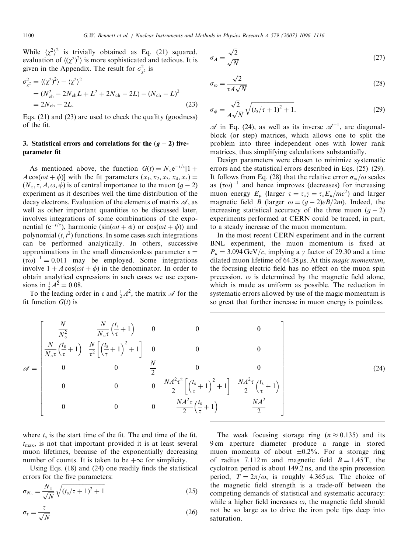While  $\langle \chi^2 \rangle^2$  is trivially obtained as Eq. (21) squared, evaluation of  $\langle \chi^2 \rangle^2$  is more sophisticated and tedious. It is given in the Appendix. The result for  $\sigma_{\chi^2}^2$  is

$$
\sigma_{\chi^2}^2 = \langle (\chi^2)^2 \rangle - \langle \chi^2 \rangle^2
$$
  
=  $(N_{\text{ch}}^2 - 2N_{\text{ch}}L + L^2 + 2N_{\text{ch}} - 2L) - (N_{\text{ch}} - L)^2$   
=  $2N_{\text{ch}} - 2L.$  (23)

Eqs. (21) and (23) are used to check the quality (goodness) of the fit.

### 3. Statistical errors and correlations for the  $(g - 2)$  fiveparameter fit

As mentioned above, the function  $G(t) = N_{\circ} e^{-t/\tau} [1 +$  $A \cos(\omega t + \phi)$  with the fit parameters  $(x_1, x_2, x_3, x_4, x_5) =$  $(N_{\circ}, \tau, A, \omega, \phi)$  is of central importance to the muon  $(g - 2)$ experiment as it describes well the time distribution of the decay electrons. Evaluation of the elements of matrix  $\mathscr A$ , as well as other important quantities to be discussed later, involves integrations of some combinations of the exponential ( $e^{-t/\tau}$ ), harmonic (sin( $\omega t + \phi$ ) or cos( $\omega t + \phi$ )) and polynomial  $(t, t^2)$  functions. In some cases such integrations can be performed analytically. In others, successive approximations in the small dimensionless parameter  $\varepsilon =$  $(\tau \omega)^{-1} = 0.011$  may be employed. Some integrations involve  $1 + A \cos(\omega t + \phi)$  in the denominator. In order to obtain analytical expressions in such cases we use expansions in  $\frac{1}{2}A^2 = 0.08$ .

To the leading order in  $\varepsilon$  and  $\frac{1}{2}A^2$ , the matrix  $\mathscr A$  for the fit function  $G(t)$  is

$$
\sigma_A = \frac{\sqrt{2}}{\sqrt{N}}\tag{27}
$$

$$
\sigma_{\omega} = \frac{\sqrt{2}}{\tau A \sqrt{N}}
$$
\n(28)

$$
\sigma_{\phi} = \frac{\sqrt{2}}{A\sqrt{N}}\sqrt{(t_s/\tau + 1)^2 + 1}.
$$
 (29)

 $\mathscr A$  in Eq. (24), as well as its inverse  $\mathscr A^{-1}$ , are diagonalblock (or step) matrices, which allows one to split the problem into three independent ones with lower rank matrices, thus simplifying calculations substantially.

Design parameters were chosen to minimize systematic errors and the statistical errors described in Eqs. (25)–(29). It follows from Eq. (28) that the relative error  $\sigma_{\omega}/\omega$  scales as  $(\tau \omega)^{-1}$  and hence improves (decreases) for increasing muon energy  $E_{\mu}$  (larger  $\tau = \tau_{\circ} \gamma = \tau_{\circ} E_{\mu}/mc^2$ ) and larger magnetic field *B* (larger  $\omega = (g - 2)eB/2m$ ). Indeed, the increasing statistical accuracy of the three muon  $(g - 2)$ experiments performed at CERN could be traced, in part, to a steady increase of the muon momentum.

In the most recent CERN experiment and in the current BNL experiment, the muon momentum is fixed at  $P_{\mu} = 3.094 \,\text{GeV}/c$ , implying a  $\gamma$  factor of 29.30 and a time dilated muon lifetime of  $64.38 \,\mu s$ . At this *magic momentum*, the focusing electric field has no effect on the muon spin precession.  $\omega$  is determined by the magnetic field alone, which is made as uniform as possible. The reduction in systematic errors allowed by use of the magic momentum is so great that further increase in muon energy is pointless.

$$
\mathcal{A} = \begin{bmatrix} \frac{N}{N_c^2} & \frac{N}{N_c \tau} \left(\frac{t_s}{\tau} + 1\right) & 0 & 0 & 0\\ \frac{N}{N_c \tau} \left(\frac{t_s}{\tau} + 1\right) & \frac{N}{\tau^2} \left[ \left(\frac{t_s}{\tau} + 1\right)^2 + 1 \right] & 0 & 0 & 0\\ 0 & 0 & \frac{N}{2} & 0 & 0\\ 0 & 0 & 0 & \frac{NA^2 \tau^2}{2} \left[ \left(\frac{t_s}{\tau} + 1\right)^2 + 1 \right] & \frac{NA^2 \tau}{2} \left(\frac{t_s}{\tau} + 1\right)\\ 0 & 0 & 0 & \frac{NA^2 \tau}{2} \left(\frac{t_s}{\tau} + 1\right) & \frac{NA^2}{2} \end{bmatrix}
$$
(24)

where  $t_s$  is the start time of the fit. The end time of the fit,  $t_{\text{max}}$ , is not that important provided it is at least several muon lifetimes, because of the exponentially decreasing number of counts. It is taken to be  $+\infty$  for simplicity.

Using Eqs. (18) and (24) one readily finds the statistical errors for the five parameters:

$$
\sigma_{N_{\circ}} = \frac{N_{\circ}}{\sqrt{N}} \sqrt{\left(t_s/\tau + 1\right)^2 + 1} \tag{25}
$$

$$
\sigma_{\tau} = \frac{\tau}{\sqrt{N}} \tag{26}
$$

The weak focusing storage ring  $(n \approx 0.135)$  and its 9 cm aperture diameter produce a range in stored muon momenta of about  $\pm 0.2$ %. For a storage ring of radius 7.112 m and magnetic field  $B = 1.45$  T, the cyclotron period is about 149.2 ns, and the spin precession period,  $T = 2\pi/\omega$ , is roughly 4.365 µs. The choice of the magnetic field strength is a trade-off between the competing demands of statistical and systematic accuracy: while a higher field increases  $\omega$ , the magnetic field should not be so large as to drive the iron pole tips deep into saturation.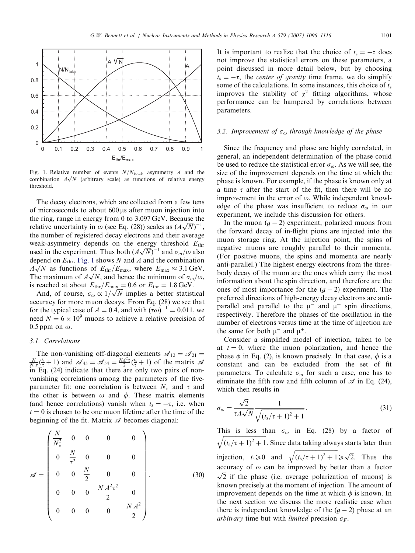

Fig. 1. Relative number of events  $N/N_{\text{total}}$ , asymmetry A and the Fig. 1. Relative filmfoel of events  $N/N_{\text{total}}$ , asymmetry A and the combination  $A\sqrt{N}$  (arbitrary scale) as functions of relative energy threshold.

The decay electrons, which are collected from a few tens of microseconds to about 600 ms after muon injection into the ring, range in energy from 0 to 3.097 GeV. Because the the ring, range in energy from 0 to 5.097 GeV. Because the relative uncertainty in  $\omega$  (see Eq. (28)) scales as  $(A\sqrt{N})^{-1}$ , the number of registered decay electrons and their average weak-asymmetry depends on the energy threshold  $E_{thr}$ weak-asymmetry depends on the energy threshold  $E_{\text{thr}}$ <br>used in the experiment. Thus both  $(A\sqrt{N})^{-1}$  and  $\sigma_{\omega}/\omega$  also depend on  $E_{\text{thr}}$ . Fig. 1 shows N and A and the combination depend on  $E_{\text{thr}}$ . Fig. 1 shows N and A and the combination  $A\sqrt{N}$  as functions of  $E_{\text{thr}}/E_{\text{max}}$ , where  $E_{\text{max}} \approx 3.1 \text{ GeV}$ .  $A\sqrt{N}$  as functions of  $E_{\text{thr}}/E_{\text{max}}$ , where  $E_{\text{max}} \approx 5.1 \text{ GeV}$ .<br>The maximum of  $A\sqrt{N}$ , and hence the minimum of  $\sigma_{\omega}/\omega$ , is reached at about  $E_{\text{thr}}/E_{\text{max}} = 0.6$  or  $E_{\text{thr}} = 1.8 \text{ GeV}$ .

reached at about  $E_{\text{thr}}/E_{\text{max}} = 0.6$  or  $E_{\text{thr}} = 1.8 \text{ GeV}$ .<br>And, of course,  $\sigma_{\omega} \propto 1/\sqrt{N}$  implies a better statistical accuracy for more muon decays. From Eq. (28) we see that for the typical case of  $A = 0.4$ , and with  $(\tau \omega)^{-1} = 0.011$ , we need  $N = 6 \times 10^9$  muons to achieve a relative precision of 0.5 ppm on  $\omega$ .

### 3.1. Correlations

The non-vanishing off-diagonal elements  $\mathcal{A}_{12} = \mathcal{A}_{21}$  $\frac{N}{N_{\circ} \tau}$  $(\frac{t_s}{\tau} + 1)$  and  $\mathscr{A}_{45} = \mathscr{A}_{54} = \frac{NA^2 \tau}{2} (\frac{t_s}{\tau} + 1)$  of the matrix  $\mathscr{A}$ in Eq. (24) indicate that there are only two pairs of nonvanishing correlations among the parameters of the fiveparameter fit: one correlation is between  $N_0$  and  $\tau$  and the other is between  $\omega$  and  $\phi$ . These matrix elements (and hence correlations) vanish when  $t_s = -\tau$ , i.e. when  $t = 0$  is chosen to be one muon lifetime after the time of the beginning of the fit. Matrix  $\mathscr A$  becomes diagonal:

$$
\mathscr{A} = \begin{pmatrix}\n\frac{N}{N_{\circ}^{2}} & 0 & 0 & 0 & 0 \\
0 & \frac{N}{\tau^{2}} & 0 & 0 & 0 \\
0 & 0 & \frac{N}{2} & 0 & 0 \\
0 & 0 & 0 & \frac{NA^{2}\tau^{2}}{2} & 0 \\
0 & 0 & 0 & 0 & \frac{NA^{2}}{2}\n\end{pmatrix}.
$$
\n(30)

It is important to realize that the choice of  $t_s = -\tau$  does not improve the statistical errors on these parameters, a point discussed in more detail below, but by choosing  $t_s = -\tau$ , the *center of gravity* time frame, we do simplify some of the calculations. In some instances, this choice of  $t_s$ improves the stability of  $\chi^2$  fitting algorithms, whose performance can be hampered by correlations between parameters.

### 3.2. Improvement of  $\sigma_{\omega}$  through knowledge of the phase

Since the frequency and phase are highly correlated, in general, an independent determination of the phase could be used to reduce the statistical error  $\sigma_{\omega}$ . As we will see, the size of the improvement depends on the time at which the phase is known. For example, if the phase is known only at a time  $\tau$  after the start of the fit, then there will be no improvement in the error of  $\omega$ . While independent knowledge of the phase was insufficient to reduce  $\sigma_{\omega}$  in our experiment, we include this discussion for others.

In the muon  $(g - 2)$  experiment, polarized muons from the forward decay of in-flight pions are injected into the muon storage ring. At the injection point, the spins of negative muons are roughly parallel to their momenta. (For positive muons, the spins and momenta are nearly anti-parallel.) The highest energy electrons from the threebody decay of the muon are the ones which carry the most information about the spin direction, and therefore are the ones of most importance for the  $(g - 2)$  experiment. The preferred directions of high-energy decay electrons are antiparallel and parallel to the  $\mu^-$  and  $\mu^+$  spin directions, respectively. Therefore the phases of the oscillation in the number of electrons versus time at the time of injection are the same for both  $\mu^-$  and  $\mu^+$ .

Consider a simplified model of injection, taken to be at  $t = 0$ , where the muon polarization, and hence the phase  $\phi$  in Eq. (2), is known precisely. In that case,  $\phi$  is a constant and can be excluded from the set of fit parameters. To calculate  $\sigma_{\omega}$  for such a case, one has to eliminate the fifth row and fifth column of  $\mathscr A$  in Eq. (24), which then results in

$$
\sigma_{\omega} = \frac{\sqrt{2}}{\tau A \sqrt{N}} \frac{1}{\sqrt{\left(t_s/\tau + 1\right)^2 + 1}}.\tag{31}
$$

This is less than  $\sigma_{\omega}$  in Eq. (28) by a factor of  $(t_s/\tau+1)^2+1$  $\overline{\phantom{a}}$ . Since data taking always starts later than injection,  $t_s \ge 0$  and ffiffiffiffiffiffiffiffiffiffiffiffiffiffiffiffiffiffiffiffiffiffiffiffiffiffiffiffiffiffi  $(t_s/\tau+1)^2+1$  $\sqrt{(t_s/\tau+1)^2+1} \ge \sqrt{2}$ . Thus the accuracy of  $\omega$  can be improved by better than a factor  $\sqrt{2}$  if the phase (i.e. average polarization of muons) is known precisely at the moment of injection. The amount of improvement depends on the time at which  $\phi$  is known. In the next section we discuss the more realistic case when there is independent knowledge of the  $(g - 2)$  phase at an arbitrary time but with *limited* precision  $\sigma_F$ .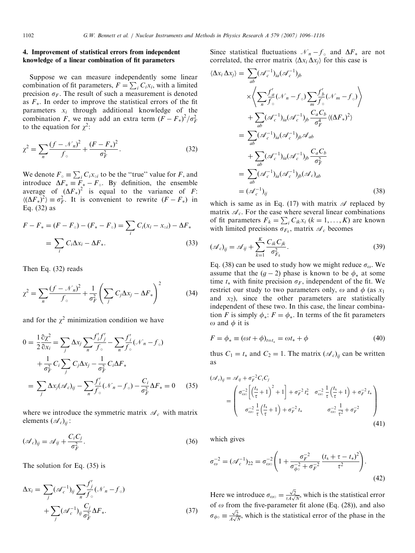### 4. Improvement of statistical errors from independent knowledge of a linear combination of fit parameters

Suppose we can measure independently some linear combination of fit parameters,  $F = \sum_i C_i x_i$ , with a limited precision  $\sigma_F$ . The result of such a measurement is denoted as  $F_*$ . In order to improve the statistical errors of the fit parameters  $x_i$  through additional knowledge of the combination F, we may add an extra term  $(F - F_*)^2 / \sigma_F^2$ to the equation for  $\chi^2$ :

$$
\chi^2 = \sum_{n} \frac{(f - \mathcal{N}_n)^2}{f_{\circ}} + \frac{(F - F_*)^2}{\sigma_F^2}.
$$
 (32)

We denote  $F_{\circ} \equiv \sum_i C_i x_{\circ i}$  to be the "true" value for F, and introduce  $\Delta F_* \equiv F_* - F_\circ$ . By definition, the ensemble average of  $(\Delta F_*)^2$  is equal to the variance of F:  $\langle (\Delta F_*)^2 \rangle \equiv \sigma_F^2$ . It is convenient to rewrite  $(F - F_*)$  in Eq. (32) as

$$
F - F_* = (F - F_\circ) - (F_* - F_\circ) = \sum_i C_i (x_i - x_{\circ i}) - \Delta F_*
$$
  
=  $\sum_i C_i \Delta x_i - \Delta F_*$ . (33)

Then Eq. (32) reads

$$
\chi^2 = \sum_{n} \frac{(f - \mathcal{N}_n)^2}{f_{\circ}} + \frac{1}{\sigma_F^2} \left( \sum_{j} C_j \Delta x_j - \Delta F_* \right)^2 \tag{34}
$$

and for the  $\chi^2$  minimization condition we have

$$
0 = \frac{1}{2} \frac{\partial \chi^2}{\partial x_i} = \sum_j \Delta x_j \sum_n \frac{f'_i f'_j}{f_\circ} - \sum_n \frac{f'_i}{f_\circ} (\mathcal{N}_n - f_\circ)
$$
  
+ 
$$
\frac{1}{\sigma_F^2} C_i \sum_j C_j \Delta x_j - \frac{1}{\sigma_F^2} C_i \Delta F_*
$$
  
= 
$$
\sum_j \Delta x_j (\mathcal{A}_c)_{ij} - \sum_n \frac{f'_i}{f_\circ} (\mathcal{N}_n - f_\circ) - \frac{C_i}{\sigma_F^2} \Delta F_* = 0
$$
 (35)

where we introduce the symmetric matrix  $\mathcal{A}_{c}$  with matrix elements  $(\mathscr{A}_{c})_{ii}$ :

$$
(\mathcal{A}_c)_{ij} = \mathcal{A}_{ij} + \frac{C_i C_j}{\sigma_F^2}.
$$
\n(36)

The solution for Eq. (35) is

$$
\Delta x_i = \sum_j (\mathcal{A}_c^{-1})_{ij} \sum_n \frac{f'_j}{f_\circ} (\mathcal{N}_n - f_\circ)
$$
  
+ 
$$
\sum_j (\mathcal{A}_c^{-1})_{ij} \frac{C_j}{\sigma_F^2} \Delta F_*
$$
 (37)

Since statistical fluctuations  $\mathcal{N}_n - f_{\circ}$  and  $\Delta F_*$  are not correlated, the error matrix  $\langle \Delta x_i \Delta x_j \rangle$  for this case is

$$
\langle \Delta x_i \Delta x_j \rangle = \sum_{ab} (\mathcal{A}_c^{-1})_{ia} (\mathcal{A}_c^{-1})_{jb}
$$
  
\n
$$
\times \left\langle \sum_n \frac{f'_a}{f'_\circ} (\mathcal{N}_n - f_\circ) \sum_m \frac{f'_b}{f'_\circ} (\mathcal{N}_m - f_\circ) \right\rangle
$$
  
\n
$$
+ \sum_{ab} (\mathcal{A}_c^{-1})_{ia} (\mathcal{A}_c^{-1})_{jb} \frac{C_a C_b}{\sigma_f^4} \langle (\Delta F_*)^2 \rangle
$$
  
\n
$$
= \sum_{ab} (\mathcal{A}_c^{-1})_{ia} (\mathcal{A}_c^{-1})_{jb} \mathcal{A}_{ab}
$$
  
\n
$$
+ \sum_{ab} (\mathcal{A}_c^{-1})_{ia} (\mathcal{A}_c^{-1})_{jb} \frac{C_a C_b}{\sigma_f^2}
$$
  
\n
$$
= \sum_{ab} (\mathcal{A}_c^{-1})_{ia} (\mathcal{A}_c^{-1})_{jb} (\mathcal{A}_c)_{ab}
$$
  
\n
$$
= (\mathcal{A}_c^{-1})_{ij}
$$
 (38)

which is same as in Eq. (17) with matrix  $\mathscr A$  replaced by matrix  $\mathcal{A}_c$ . For the case where several linear combinations of fit parameters  $F_k = \sum_i C_{ik} x_i$   $(k = 1, ..., K)$  are known with limited precisions  $\sigma_{F_k}$ , matrix  $\mathcal{A}_{c}$  becomes

$$
(\mathscr{A}_c)_{ij} = \mathscr{A}_{ij} + \sum_{k=1}^K \frac{C_{ik} C_{jk}}{\sigma_{F_k}^2}.
$$
\n(39)

Eq. (38) can be used to study how we might reduce  $\sigma_{\omega}$ . We assume that the  $(g - 2)$  phase is known to be  $\phi_*$  at some time  $t_*$  with finite precision  $\sigma_F$ , independent of the fit. We restrict our study to two parameters only,  $\omega$  and  $\phi$  (as  $x_1$ ) and  $x_2$ ), since the other parameters are statistically independent of these two. In this case, the linear combination F is simply  $\phi$ .:  $F = \phi$ . In terms of the fit parameters  $\omega$  and  $\phi$  it is

$$
F = \phi_* \equiv (\omega t + \phi)_{t=t_*} = \omega t_* + \phi \tag{40}
$$

thus  $C_1 = t_*$  and  $C_2 = 1$ . The matrix  $(\mathcal{A}_c)_{ii}$  can be written as

$$
(\mathscr{A}_c)_{ij} = \mathscr{A}_{ij} + \sigma_F^{-2} C_i C_j
$$
  
= 
$$
\begin{pmatrix} \sigma_{\omega\circ}^{-2} \left[ \left( \frac{t_s}{\tau} + 1 \right)^2 + 1 \right] + \sigma_F^{-2} t_*^2 & \sigma_{\omega\circ}^{-2} \frac{1}{\tau} \left( \frac{t_s}{\tau} + 1 \right) + \sigma_F^{-2} t_* \\ \sigma_{\omega\circ}^{-2} \frac{1}{\tau} \left( \frac{t_s}{\tau} + 1 \right) + \sigma_F^{-2} t_* & \sigma_{\omega\circ}^{-2} \frac{1}{\tau^2} + \sigma_F^{-2} \end{pmatrix}
$$
(41)

which gives

$$
\sigma_{\omega}^{-2} = (\mathcal{A}_c^{-1})_{22} = \sigma_{\omega}^{-2} \left( 1 + \frac{\sigma_F^{-2}}{\sigma_{\phi}^{-2} + \sigma_F^{-2}} \frac{(t_s + \tau - t_*)^2}{\tau^2} \right). \tag{42}
$$

Here we introduce  $\sigma_{\omega\circ} = \frac{\sqrt{2}}{\tau_4}$  $\frac{\sqrt{2}}{\tau A \sqrt{N}}$ , which is the statistical error of  $\omega$  from the five-parameter fit alone (Eq. (28)), and also  $\sigma_{\phi} = \frac{\sqrt{2}}{4\sqrt{N}}$ , which is the statistical error of the phase in the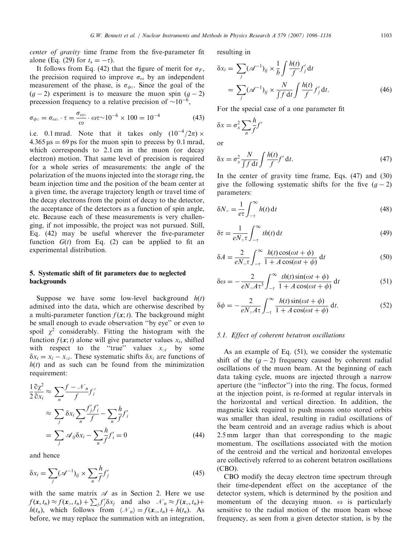center of gravity time frame from the five-parameter fit alone (Eq. (29) for  $t_s = -\tau$ ).

It follows from Eq. (42) that the figure of merit for  $\sigma_F$ , the precision required to improve  $\sigma_{\omega}$  by an independent measurement of the phase, is  $\sigma_{\phi}$ . Since the goal of the  $(g-2)$  experiment is to measure the muon spin  $(g-2)$ precession frequency to a relative precision of  $\sim 10^{-6}$ ,

$$
\sigma_{\phi \circ} = \sigma_{\omega \circ} \cdot \tau = \frac{\sigma_{\omega \circ}}{\omega} \cdot \omega \tau \sim 10^{-6} \times 100 = 10^{-4}
$$
 (43)

i.e. 0.1 mrad. Note that it takes only  $(10^{-4}/2\pi) \times$  $4.365 \text{ µs} = 69 \text{ ps}$  for the muon spin to precess by 0.1 mrad, which corresponds to 2.1 cm in the muon (or decay electron) motion. That same level of precision is required for a whole series of measurements: the angle of the polarization of the muons injected into the storage ring, the beam injection time and the position of the beam center at a given time, the average trajectory length or travel time of the decay electrons from the point of decay to the detector, the acceptance of the detectors as a function of spin angle, etc. Because each of these measurements is very challenging, if not impossible, the project was not pursued. Still, Eq. (42) may be useful wherever the five-parameter function  $G(t)$  from Eq. (2) can be applied to fit an experimental distribution.

### 5. Systematic shift of fit parameters due to neglected backgrounds

Suppose we have some low-level background  $h(t)$ admixed into the data, which are otherwise described by a multi-parameter function  $f(\mathbf{x}; t)$ . The background might be small enough to evade observation ''by eye'' or even to spoil  $\chi^2$  considerably. Fitting the histogram with the function  $f(\mathbf{x}; t)$  alone will give parameter values  $x_i$ , shifted with respect to the "true" values  $x_{oi}$  by some  $\delta x_i = x_i - x_{\text{o}i}$ . These systematic shifts  $\delta x_i$  are functions of  $h(t)$  and as such can be found from the minimization requirement:

$$
\frac{1}{2} \frac{\partial \chi^2}{\partial x_i} \approx \sum_{n} \frac{f - \mathcal{N}_n}{f} f'_i
$$
  
\n
$$
\approx \sum_{j} \delta x_i \sum_{n} \frac{f'_j f'_i}{f} - \sum_{n} \frac{h}{f} f'_i
$$
  
\n
$$
= \sum_{j} \mathcal{A}_{ij} \delta x_i - \sum_{n} \frac{h}{f} f'_i = 0
$$
 (44)

and hence

$$
\delta x_i = \sum_j (\mathcal{A}^{-1})_{ij} \times \sum_n \frac{h}{f} f'_j \tag{45}
$$

with the same matrix  $\mathscr A$  as in Section 2. Here we use  $f(\mathbf{x}, t_n) \approx f(\mathbf{x}_0, t_n) + \sum_j f'_j \delta x_j$  and also  $\mathcal{N}_n \approx f(\mathbf{x}_0, t_n) +$  $h(t_n)$ , which follows from  $\langle \mathcal{N}_n \rangle = f(x_0, t_n) + h(t_n)$ . As before, we may replace the summation with an integration, resulting in

$$
\delta x_i = \sum_j (\mathscr{A}^{-1})_{ij} \times \frac{1}{b} \int \frac{h(t)}{f} f'_j dt
$$
  
= 
$$
\sum_j (\mathscr{A}^{-1})_{ij} \times \frac{N}{\int f dt} \int \frac{h(t)}{f} f'_j dt.
$$
 (46)

For the special case of a one parameter fit

$$
\delta x = \sigma_x^2 \sum_n \frac{h}{f} f'
$$
  
or

$$
\delta x = \sigma_x^2 \frac{N}{\int f \, \mathrm{d}t} \int \frac{h(t)}{f} f' \, \mathrm{d}t. \tag{47}
$$

In the center of gravity time frame, Eqs. (47) and (30) give the following systematic shifts for the five  $(g - 2)$ parameters:

$$
\delta N_{\circ} = \frac{1}{e\tau} \int_{-\tau}^{\infty} h(t) \, \mathrm{d}t \tag{48}
$$

$$
\delta \tau = \frac{1}{eN_{\circ} \tau} \int_{-\tau}^{\infty} th(t) dt
$$
\n(49)

$$
\delta A = \frac{2}{eN_{\circ}\tau} \int_{-\tau}^{\infty} \frac{h(t)\cos(\omega t + \phi)}{1 + A\cos(\omega t + \phi)} dt
$$
 (50)

$$
\delta\omega = -\frac{2}{eN_o A \tau^3} \int_{-\tau}^{\infty} \frac{th(t)\sin(\omega t + \phi)}{1 + A\cos(\omega t + \phi)} dt
$$
(51)

$$
\delta\phi = -\frac{2}{eN_{\circ}A\tau} \int_{-\tau}^{\infty} \frac{h(t)\sin(\omega t + \phi)}{1 + A\cos(\omega t + \phi)} dt.
$$
 (52)

#### 5.1. Effect of coherent betatron oscillations

As an example of Eq. (51), we consider the systematic shift of the  $(g - 2)$  frequency caused by coherent radial oscillations of the muon beam. At the beginning of each data taking cycle, muons are injected through a narrow aperture (the ''inflector'') into the ring. The focus, formed at the injection point, is re-formed at regular intervals in the horizontal and vertical direction. In addition, the magnetic kick required to push muons onto stored orbits was smaller than ideal, resulting in radial oscillations of the beam centroid and an average radius which is about 2.5 mm larger than that corresponding to the magic momentum. The oscillations associated with the motion of the centroid and the vertical and horizontal envelopes are collectively referred to as coherent betatron oscillations (CBO).

CBO modify the decay electron time spectrum through their time-dependent effect on the acceptance of the detector system, which is determined by the position and momentum of the decaying muon.  $\omega$  is particularly sensitive to the radial motion of the muon beam whose frequency, as seen from a given detector station, is by the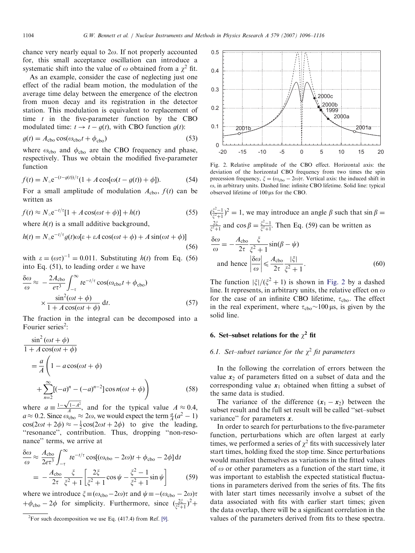chance very nearly equal to  $2\omega$ . If not properly accounted for, this small acceptance oscillation can introduce a systematic shift into the value of  $\omega$  obtained from a  $\chi^2$  fit.

As an example, consider the case of neglecting just one effect of the radial beam motion, the modulation of the average time delay between the emergence of the electron from muon decay and its registration in the detector station. This modulation is equivalent to replacement of time  $t$  in the five-parameter function by the CBO modulated time:  $t \to t - g(t)$ , with CBO function  $g(t)$ :

$$
g(t) = A_{\text{cbo}} \cos(\omega_{\text{cbo}} t + \phi_{\text{cbo}}) \tag{53}
$$

where  $\omega_{\rm cbo}$  and  $\phi_{\rm cbo}$  are the CBO frequency and phase, respectively. Thus we obtain the modified five-parameter function

$$
f(t) = N_{\circ} e^{-(t - g(t))/\tau} (1 + A \cos[\omega(t - g(t)) + \phi]).
$$
 (54)

For a small amplitude of modulation  $A_{\text{cbo}}$ ,  $f(t)$  can be written as

$$
f(t) \approx N_{\circ} e^{-t/\tau} [1 + A \cos(\omega t + \phi)] + h(t)
$$
 (55)

where  $h(t)$  is a small additive background,

$$
h(t) = N_0 e^{-t/\tau} g(t) \omega[\varepsilon + \varepsilon A \cos(\omega t + \phi) + A \sin(\omega t + \phi)]
$$
\n(56)

with  $\varepsilon = (\omega \tau)^{-1} = 0.011$ . Substituting  $h(t)$  from Eq. (56) into Eq.  $(51)$ , to leading order  $\varepsilon$  we have

$$
\frac{\delta\omega}{\omega} \approx -\frac{2A_{\text{cbo}}}{e\tau^3} \int_{-\tau}^{\infty} t e^{-t/\tau} \cos(\omega_{\text{cbo}}t + \phi_{\text{cbo}})
$$

$$
\times \frac{\sin^2(\omega t + \phi)}{1 + A\cos(\omega t + \phi)} dt.
$$
(57)

The fraction in the integral can be decomposed into a Fourier series<sup>2</sup>:

$$
\frac{\sin^2(\omega t + \phi)}{1 + A \cos(\omega t + \phi)}
$$
  
=  $\frac{a}{A} \left( 1 - a \cos(\omega t + \phi) + \sum_{n=2}^{\infty} [(-a)^n - (-a)^{n-2}] \cos n(\omega t + \phi) \right)$  (58)

where  $a = \frac{1-\sqrt{1-A^2}}{A}$ , and for the typical value  $A \approx 0.4$ ,  $a \approx 0.2$ . Since  $\omega_{\rm cbo} \approx 2\omega$ , we would expect the term  $\frac{a}{A}(a^2 - 1)$  $cos(2\omega t + 2\phi) \approx -\frac{1}{2}cos(2\omega t + 2\phi)$  to give the leading, ''resonance'', contribution. Thus, dropping ''non-resonance'' terms, we arrive at

$$
\frac{\delta\omega}{\omega} \approx \frac{A_{\text{cbo}}}{2e^{\tau^3}} \int_{-\tau}^{\infty} t e^{-t/\tau} \cos[(\omega_{\text{cbo}} - 2\omega)t + \phi_{\text{cbo}} - 2\phi] dt
$$

$$
= -\frac{A_{\text{cbo}}}{2\tau} \frac{\xi}{\xi^2 + 1} \left[ \frac{2\xi}{\xi^2 + 1} \cos\psi - \frac{\xi^2 - 1}{\xi^2 + 1} \sin\psi \right] \tag{59}
$$

where we introduce  $\xi \equiv (\omega_{\text{cbo}} - 2\omega)\tau$  and  $\psi \equiv -(\omega_{\text{cbo}} - 2\omega)\tau$  $+\phi_{\text{cbo}} - 2\phi$  for simplicity. Furthermore, since  $\left(\frac{2\xi}{\xi^2+1}\right)^2 +$ 



Fig. 2. Relative amplitude of the CBO effect. Horizontal axis: the deviation of the horizontal CBO frequency from two times the spin precession frequency,  $\xi = (\omega_{\text{cbo}} - 2\omega)\tau$ . Vertical axis: the induced shift in  $\omega$ , in arbitrary units. Dashed line: infinite CBO lifetime. Solid line: typical observed lifetime of  $100 \,\mu s$  for the CBO.

$$
(\frac{\xi^2 - 1}{\xi^2 + 1})^2 = 1
$$
, we may introduce an angle  $\beta$  such that  $\sin \beta = \frac{2\xi}{\xi^2 + 1}$  and  $\cos \beta = \frac{\xi^2 - 1}{\xi^2 + 1}$ . Then Eq. (59) can be written as  
\n
$$
\frac{\delta \omega}{\omega} = -\frac{A_{\text{cbo}}}{2\tau} \frac{\xi}{\xi^2 + 1} \sin(\beta - \psi)
$$
  
\nand hence 
$$
\left| \frac{\delta \omega}{\omega} \right| \le \frac{A_{\text{cbo}}}{2\tau} \frac{|\xi|}{\xi^2 + 1}.
$$
 (60)

The function  $|\xi|/(\xi^2 + 1)$  is shown in Fig. 2 by a dashed line. It represents, in arbitrary units, the relative effect on  $\omega$ for the case of an infinite CBO lifetime,  $\tau_{\text{cho}}$ . The effect in the real experiment, where  $\tau_{\text{cho}} \sim 100 \,\mu s$ , is given by the solid line.

# 6. Set–subset relations for the  $\chi^2$  fit

# 6.1. Set–subset variance for the  $\chi^2$  fit parameters

In the following the correlation of errors between the value  $x_2$  of parameters fitted on a subset of data and the corresponding value  $x_1$  obtained when fitting a subset of the same data is studied.

The variance of the difference  $(x_1 - x_2)$  between the subset result and the full set result will be called ''set–subset variance" for parameters  $x$ .

In order to search for perturbations to the five-parameter function, perturbations which are often largest at early times, we performed a series of  $\chi^2$  fits with successively later start times, holding fixed the stop time. Since perturbations would manifest themselves as variations in the fitted values of  $\omega$  or other parameters as a function of the start time, it was important to establish the expected statistical fluctuations in parameters derived from the series of fits. The fits with later start times necessarily involve a subset of the data associated with fits with earlier start times; given the data overlap, there will be a significant correlation in the values of the parameters derived from fits to these spectra.

<sup>&</sup>lt;sup>2</sup>For such decomposition we use Eq.  $(417.4)$  from Ref. [\[9\]](#page-20-0).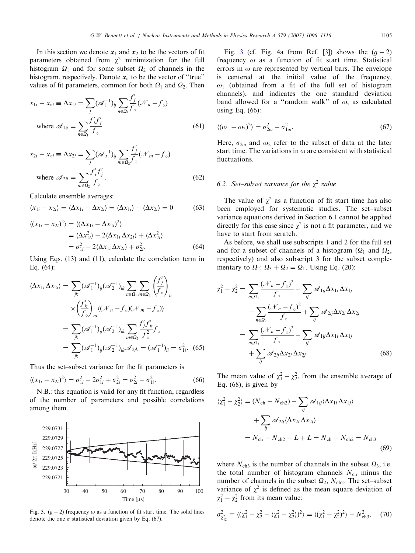In this section we denote  $x_1$  and  $x_2$  to be the vectors of fit parameters obtained from  $\chi^2$  minimization for the full histogram  $\Omega_1$  and for some subset  $\Omega_2$  of channels in the histogram, respectively. Denote  $x_0$  to be the vector of "true" values of fit parameters, common for both  $\Omega_1$  and  $\Omega_2$ . Then

$$
x_{1i} - x_{\circ i} \equiv \Delta x_{1i} = \sum_{j} (\mathscr{A}_1^{-1})_{ij} \sum_{n \in \Omega_1} \frac{f'_j}{f_{\circ}} (\mathscr{N}_n - f_{\circ})
$$
  
where  $\mathscr{A}_{1ij} = \sum_{n \in \Omega_1} \frac{f'_i f'_j}{f_{\circ}}$  (61)

$$
x_{2i} - x_{\circ i} \equiv \Delta x_{2i} = \sum_{j} (\mathscr{A}_2^{-1})_{ij} \sum_{m \in \Omega_2} \frac{f'_j}{f_{\circ}} (\mathscr{N}_m - f_{\circ})
$$
  
where  $\mathscr{A}_{2ij} = \sum_{m \in \Omega_2} \frac{f'_i f'_j}{f_{\circ}}.$  (62)

Calculate ensemble averages:

$$
\langle x_{1i} - x_{2i} \rangle = \langle \Delta x_{1i} - \Delta x_{2i} \rangle = \langle \Delta x_{1i} \rangle - \langle \Delta x_{2i} \rangle = 0 \tag{63}
$$

$$
\langle (x_{1i} - x_{2i})^2 \rangle = \langle (\Delta x_{1i} - \Delta x_{2i})^2 \rangle
$$
  
=  $\langle \Delta x_{1i}^2 \rangle - 2 \langle \Delta x_{1i} \Delta x_{2i} \rangle + \langle \Delta x_{2i}^2 \rangle$   
=  $\sigma_{1i}^2 - 2 \langle \Delta x_{1i} \Delta x_{2i} \rangle + \sigma_{2i}^2$ . (64)

Using Eqs. (13) and (11), calculate the correlation term in Eq. (64):

$$
\langle \Delta x_{1i} \Delta x_{2i} \rangle = \sum_{jk} (\mathcal{A}_1^{-1})_{ij} (\mathcal{A}_2^{-1})_{ik} \sum_{n \in \Omega_1} \sum_{m \in \Omega_2} \left( \frac{f'_j}{f_\circ} \right)_n
$$
  

$$
\times \left( \frac{f'_k}{f_\circ} \right)_m \langle (\mathcal{N}_n - f_\circ) (\mathcal{N}_m - f_\circ) \rangle
$$
  

$$
= \sum_{jk} (\mathcal{A}_1^{-1})_{ij} (\mathcal{A}_2^{-1})_{ik} \sum_{m \in \Omega_2} \frac{f'_j f'_k}{f_\circ^2} f_\circ
$$
  

$$
= \sum_{jk} (\mathcal{A}_1^{-1})_{ij} (\mathcal{A}_2^{-1})_{ik} \mathcal{A}_{2jk} = (\mathcal{A}_1^{-1})_{ii} = \sigma_{1i}^2. \tag{65}
$$

Thus the set–subset variance for the fit parameters is

$$
\langle (x_{1i} - x_{2i})^2 \rangle = \sigma_{1i}^2 - 2\sigma_{1i}^2 + \sigma_{2i}^2 = \sigma_{2i}^2 - \sigma_{1i}^2. \tag{66}
$$

N.B.: this equation is valid for any fit function, regardless of the number of parameters and possible correlations among them.



Fig. 3.  $(g - 2)$  frequency  $\omega$  as a function of fit start time. The solid lines denote the one  $\sigma$  statistical deviation given by Eq. (67).

Fig. 3 (cf. Fig. 4a from Ref. [\[3\]](#page-20-0)) shows the  $(g - 2)$ frequency  $\omega$  as a function of fit start time. Statistical errors in  $\omega$  are represented by vertical bars. The envelope is centered at the initial value of the frequency,  $\omega_1$  (obtained from a fit of the full set of histogram channels), and indicates the one standard deviation band allowed for a "random walk" of  $\omega$ , as calculated using Eq. (66):

$$
\langle (\omega_1 - \omega_2)^2 \rangle = \sigma_{2\omega}^2 - \sigma_{1\omega}^2. \tag{67}
$$

Here,  $\sigma_{2\omega}$  and  $\omega_2$  refer to the subset of data at the later start time. The variations in  $\omega$  are consistent with statistical fluctuations.

# 6.2. Set–subset variance for the  $\chi^2$  value

The value of  $\chi^2$  as a function of fit start time has also been employed for systematic studies. The set–subset variance equations derived in Section 6.1 cannot be applied directly for this case since  $\chi^2$  is not a fit parameter, and we have to start from scratch.

As before, we shall use subscripts 1 and 2 for the full set and for a subset of channels of a histogram ( $\Omega_1$  and  $\Omega_2$ , respectively) and also subscript 3 for the subset complementary to  $\Omega_2$ :  $\Omega_3 + \Omega_2 = \Omega_1$ . Using Eq. (20):

$$
\chi_1^2 - \chi_2^2 = \sum_{n \in \Omega_1} \frac{(\mathcal{N}_n - f_\circ)^2}{f_\circ} - \sum_{ij} \mathcal{A}_{1ij} \Delta x_{1i} \Delta x_{1j} \n- \sum_{n \in \Omega_2} \frac{(\mathcal{N}_n - f_\circ)^2}{f_\circ} + \sum_{ij} \mathcal{A}_{2ij} \Delta x_{2i} \Delta x_{2j} \n= \sum_{n \in \Omega_3} \frac{(\mathcal{N}_n - f_\circ)^2}{f_\circ} - \sum_{ij} \mathcal{A}_{1ij} \Delta x_{1i} \Delta x_{1j} \n+ \sum_{ij} \mathcal{A}_{2ij} \Delta x_{2i} \Delta x_{2j}.
$$
\n(68)

The mean value of  $\chi_1^2 - \chi_2^2$ , from the ensemble average of Eq. (68), is given by

$$
\langle \chi_1^2 - \chi_2^2 \rangle = (N_{\rm ch} - N_{\rm ch2}) - \sum_{ij} \mathcal{A}_{1ij} \langle \Delta x_{1i} \Delta x_{1j} \rangle
$$
  
+ 
$$
\sum_{ij} \mathcal{A}_{2ij} \langle \Delta x_{2i} \Delta x_{2j} \rangle
$$
  
= 
$$
N_{\rm ch} - N_{\rm ch2} - L + L = N_{\rm ch} - N_{\rm ch2} = N_{\rm ch3}
$$
(69)

where  $N_{ch3}$  is the number of channels in the subset  $\Omega_3$ , i.e. the total number of histogram channels  $N_{ch}$  minus the number of channels in the subset  $\Omega_2$ ,  $N_{ch2}$ . The set–subset variance of  $\chi^2$  is defined as the mean square deviation of  $\chi_1^2 - \chi_2^2$  from its mean value:

$$
\sigma_{\chi_{12}^2}^2 \equiv \langle (\chi_1^2 - \chi_2^2 - \langle \chi_1^2 - \chi_2^2 \rangle)^2 \rangle = \langle (\chi_1^2 - \chi_2^2)^2 \rangle - N_{\text{ch3}}^2. \tag{70}
$$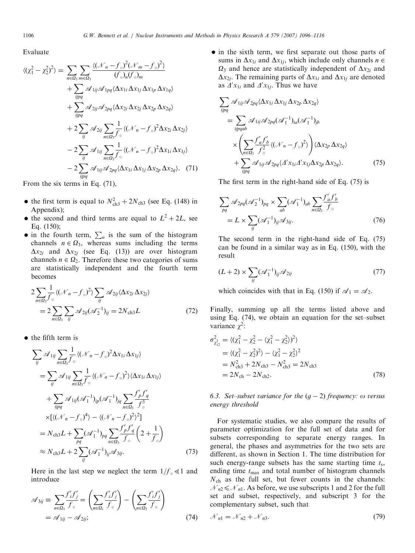Evaluate

$$
\langle (\chi_1^2 - \chi_2^2)^2 \rangle = \sum_{n \in \Omega_3} \sum_{m \in \Omega_3} \frac{\langle (\mathcal{N}_n - f_{\circ})^2 (\mathcal{N}_m - f_{\circ})^2 \rangle}{\langle f_{\circ} \rangle_n \langle f_{\circ} \rangle_m} \n+ \sum_{ijpq} \mathcal{A}_{1ij} \mathcal{A}_{1pq} \langle \Delta x_{1i} \Delta x_{1j} \Delta x_{1p} \Delta x_{1q} \rangle \n+ \sum_{ijpq} \mathcal{A}_{2ij} \mathcal{A}_{2pq} \langle \Delta x_{2i} \Delta x_{2j} \Delta x_{2p} \Delta x_{2q} \rangle \n+ 2 \sum_{ij} \mathcal{A}_{2ij} \sum_{n \in \Omega_3} \frac{1}{f_{\circ}} \langle (\mathcal{N}_n - f_{\circ})^2 \Delta x_{2i} \Delta x_{2j} \rangle \n- 2 \sum_{ij} \mathcal{A}_{1ij} \sum_{n \in \Omega_3} \frac{1}{f_{\circ}} \langle (\mathcal{N}_n - f_{\circ})^2 \Delta x_{1i} \Delta x_{1j} \rangle \n- 2 \sum_{ij} \mathcal{A}_{1ij} \mathcal{A}_{2pq} \langle \Delta x_{1i} \Delta x_{1j} \Delta x_{2p} \Delta x_{2q} \rangle.
$$
 (71)

From the six terms in Eq. (71),

- the first term is equal to  $N_{\text{ch}3}^2 + 2N_{\text{ch}3}$  (see Eq. (148) in Appendix);
- the second and third terms are equal to  $L^2 + 2L$ , see Eq. (150);
- in the fourth term,  $\sum_{n}$  is the sum of the histogram channels  $n \in \Omega_3$ , whereas sums including the terms  $\Delta x_{2i}$  and  $\Delta x_{2i}$  (see Eq. (13)) are over histogram channels  $n \in \Omega$ . Therefore these two categories of sums are statistically independent and the fourth term becomes

$$
2\sum_{n\in\Omega_3}\frac{1}{f_{\circ}}\langle (\mathcal{N}_n-f_{\circ})^2 \rangle \sum_{ij} \mathcal{A}_{2ij} \langle \Delta x_{2i} \Delta x_{2j} \rangle
$$
  
= 
$$
2\sum_{n\in\Omega_3}\sum_{ij} \mathcal{A}_{2ij} (\mathcal{A}_2^{-1})_{ij} = 2N_{\text{ch}3}L
$$
 (72)

 $\bullet$  the fifth term is

$$
\sum_{ij} \mathscr{A}_{1ij} \sum_{n \in \Omega_3} \frac{1}{f_{\circ}} \langle (\mathcal{N}_n - f_{\circ})^2 \Delta x_{1i} \Delta x_{1j} \rangle
$$
  
\n
$$
= \sum_{ij} \mathscr{A}_{1ij} \sum_{n \in \Omega_3} \frac{1}{f_{\circ}} \langle (\mathcal{N}_n - f_{\circ})^2 \rangle \langle \Delta x_{1i} \Delta x_{1j} \rangle
$$
  
\n
$$
+ \sum_{ijpq} \mathscr{A}_{1ij} (\mathscr{A}_1^{-1})_{ip} (\mathscr{A}_1^{-1})_{jq} \sum_{n \in \Omega_3} \frac{f'_p f'_q}{f_{\circ}^3}
$$
  
\n
$$
\times [ \langle (\mathcal{N}_n - f_{\circ})^4 \rangle - \langle (\mathcal{N}_n - f_{\circ})^2 \rangle^2 ]
$$
  
\n
$$
= N_{ch3} L + \sum_{pq} (\mathscr{A}_1^{-1})_{pq} \sum_{n \in \Omega_3} \frac{f'_p f'_q}{f_{\circ}} \left( 2 + \frac{1}{f_{\circ}} \right)
$$
  
\n
$$
\approx N_{ch3} L + 2 \sum_{ij} (\mathscr{A}_1^{-1})_{ij} \mathscr{A}_{3ij}.
$$
 (73)

Here in the last step we neglect the term  $1/f_{\circ} \ll 1$  and introduce

$$
\mathscr{A}_{3ij} \equiv \sum_{n \in \Omega_3} \frac{f'_i f'_j}{f_\circ} = \left(\sum_{n \in \Omega_1} \frac{f'_i f'_j}{f_\circ}\right) - \left(\sum_{n \in \Omega_2} \frac{f'_i f'_j}{f_\circ}\right)
$$

$$
= \mathscr{A}_{1ij} - \mathscr{A}_{2ij};\tag{74}
$$

• in the sixth term, we first separate out those parts of sums in  $\Delta x_{1i}$  and  $\Delta x_{1i}$ , which include only channels  $n \in$  $\Omega_3$  and hence are statistically independent of  $\Delta x_{2i}$  and  $\Delta x_{2i}$ . The remaining parts of  $\Delta x_{1i}$  and  $\Delta x_{1i}$  are denoted as  $\Delta' x_{1i}$  and  $\Delta' x_{1j}$ . Thus we have

$$
\sum_{ijpq} \mathcal{A}_{1ij} \mathcal{A}_{2pq} \langle \Delta x_{1i} \Delta x_{1j} \Delta x_{2p} \Delta x_{2q} \rangle
$$
  
= 
$$
\sum_{ijpqab} \mathcal{A}_{1ij} \mathcal{A}_{2pq} (\mathcal{A}_1^{-1})_{ia} (\mathcal{A}_1^{-1})_{jb}
$$
  

$$
\times \left( \sum_{n \in \Omega_3} \frac{f'_a f'_b}{f'_c} \langle (\mathcal{N}_n - f_c)^2 \rangle \right) \langle \Delta x_{2p} \Delta x_{2q} \rangle
$$
  
+ 
$$
\sum_{ijpq} \mathcal{A}_{1ij} \mathcal{A}_{2pq} \langle \Delta' x_{1i} \Delta' x_{1j} \Delta x_{2p} \Delta x_{2q} \rangle.
$$
 (75)

The first term in the right-hand side of Eq. (75) is

$$
\sum_{pq} \mathcal{A}_{2pq}(\mathcal{A}_2^{-1})_{pq} \times \sum_{ab} (\mathcal{A}_1^{-1})_{ab} \sum_{n \in \Omega_3} \frac{f'_a f'_b}{f_c}
$$

$$
= L \times \sum_{ij} (\mathcal{A}_1^{-1})_{ij} \mathcal{A}_{3ij}.
$$
(76)

The second term in the right-hand side of Eq. (75) can be found in a similar way as in Eq. (150), with the result

$$
(L+2) \times \sum_{ij} (\mathscr{A}_1^{-1})_{ij} \mathscr{A}_{2ij} \tag{77}
$$

which coincides with that in Eq. (150) if  $\mathcal{A}_1 = \mathcal{A}_2$ .

Finally, summing up all the terms listed above and using Eq. (74), we obtain an equation for the set–subset variance  $\chi^2$ :

$$
\sigma_{\chi_{12}^2}^2 = \langle (\chi_1^2 - \chi_2^2 - \langle \chi_1^2 - \chi_2^2 \rangle)^2 \rangle
$$
  
=\langle (\chi\_1^2 - \chi\_2^2)^2 \rangle - \langle \chi\_1^2 - \chi\_2^2 \rangle^2  
= N\_{ch3}^2 + 2N\_{ch3} - N\_{ch3}^2 = 2N\_{ch3}  
= 2N\_{ch} - 2N\_{ch2}. (78)

6.3. Set–subset variance for the  $(g - 2)$  frequency:  $\omega$  versus energy threshold

For systematic studies, we also compare the results of parameter optimization for the full set of data and for subsets corresponding to separate energy ranges. In general, the phases and asymmetries for the two sets are different, as shown in Section 1. The time distribution for such energy-range subsets has the same starting time  $t_s$ , ending time  $t_{\text{max}}$  and total number of histogram channels  $N<sub>ch</sub>$  as the full set, but fewer counts in the channels:  $\mathcal{N}_{n2} \leq \mathcal{N}_{n1}$ . As before, we use subscripts 1 and 2 for the full set and subset, respectively, and subscript 3 for the complementary subset, such that

$$
\mathcal{N}_{n1} = \mathcal{N}_{n2} + \mathcal{N}_{n3}.\tag{79}
$$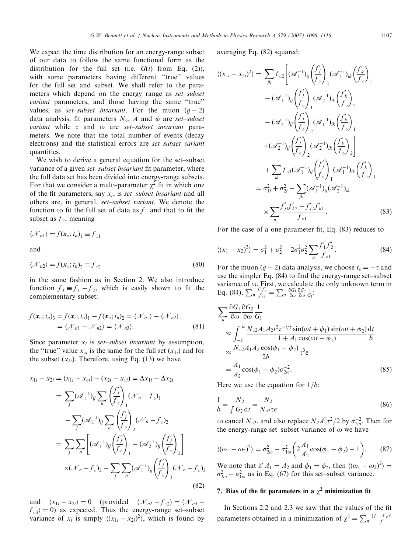We expect the time distribution for an energy-range subset of our data to follow the same functional form as the distribution for the full set (i.e.  $G(t)$  from Eq. (2)), with some parameters having different "true" values for the full set and subset. We shall refer to the parameters which depend on the energy range as set–subset variant parameters, and those having the same "true" values, as *set–subset invariant*. For the muon  $(g - 2)$ data analysis, fit parameters  $N_{\circ}$ , A and  $\phi$  are set–subset variant while  $\tau$  and  $\omega$  are set–subset invariant parameters. We note that the total number of events (decay electrons) and the statistical errors are set–subset variant quantities.

We wish to derive a general equation for the set–subset variance of a given set–subset invariant fit parameter, where the full data set has been divided into energy-range subsets. For that we consider a multi-parameter  $\chi^2$  fit in which one of the fit parameters, say  $x_i$ , is set–subset invariant and all others are, in general, set–subset variant. We denote the function to fit the full set of data as  $f_1$  and that to fit the subset as  $f_2$ , meaning

 $\langle \mathcal{N}_n \rangle = f(\mathbf{x}_\circ; t_n)_1 \equiv f_{\circ 1}$ 

and

$$
\langle \mathcal{N}_{n2} \rangle = f(\mathbf{x}_{\circ}; t_n)_{2} \equiv f_{\circ 2} \tag{80}
$$

in the same fashion as in Section 2. We also introduce function  $f_3 \equiv f_1 - f_2$ , which is easily shown to fit the complementary subset:

$$
f(\mathbf{x}_{\circ}; t_n)_{3} = f(\mathbf{x}_{\circ}; t_n)_{1} - f(\mathbf{x}_{\circ}; t_n)_{2} = \langle \mathcal{N}_{n1} \rangle - \langle \mathcal{N}_{n2} \rangle
$$
  
=  $\langle \mathcal{N}_{n1} - \mathcal{N}_{n2} \rangle = \langle \mathcal{N}_{n3} \rangle.$  (81)

Since parameter  $x_i$  is set–subset invariant by assumption, the "true" value  $x_{0i}$  is the same for the full set  $(x_{1i})$  and for the subset  $(x_{2i})$ . Therefore, using Eq. (13) we have

$$
x_{1i} - x_{2i} = (x_{1i} - x_{\circ i}) - (x_{2i} - x_{\circ i}) = \Delta x_{1i} - \Delta x_{2i}
$$
  
\n
$$
= \sum_{j} (\mathscr{A}_{1}^{-1})_{ij} \sum_{n} \left(\frac{f'_{j}}{f_{\circ}}\right)_{1} (\mathscr{N}_{n} - f_{\circ})_{1}
$$
  
\n
$$
- \sum_{j} (\mathscr{A}_{2}^{-1})_{ij} \sum_{n} \left(\frac{f'_{j}}{f_{\circ}}\right)_{2} (\mathscr{N}_{n} - f_{\circ})_{2}
$$
  
\n
$$
= \sum_{j} \sum_{n} \left[ (\mathscr{A}_{1}^{-1})_{ij} \left(\frac{f'_{j}}{f_{\circ}}\right)_{1} - (\mathscr{A}_{2}^{-1})_{ij} \left(\frac{f'_{j}}{f_{\circ}}\right)_{2} \right]
$$
  
\n
$$
\times (\mathscr{N}_{n} - f_{\circ})_{2} - \sum_{j} \sum_{n} (\mathscr{A}_{1}^{-1})_{ij} \left(\frac{f'_{j}}{f_{\circ}}\right)_{1} (\mathscr{N}_{n} - f_{\circ})_{3}
$$
  
\n(82)

and  $\langle x_{1i} - x_{2i} \rangle = 0$  (provided  $\langle \mathcal{N}_{n2} - f_{\circ 2} \rangle = \langle \mathcal{N}_{n3}$  $f_{\alpha 3}$  = 0) as expected. Thus the energy-range set–subset variance of  $x_i$  is simply  $\langle (x_{1i} - x_{2i})^2 \rangle$ , which is found by

averaging Eq. (82) squared:

$$
\langle (x_{1i} - x_{2i})^2 \rangle = \sum_{jk} f_{\circ 2} \left[ (\mathcal{A}_1^{-1})_{ij} \left( \frac{f'_j}{f_{\circ}} \right)_1 (\mathcal{A}_1^{-1})_{ik} \left( \frac{f'_k}{f_{\circ}} \right)_1 - (\mathcal{A}_1^{-1})_{ij} \left( \frac{f'_j}{f_{\circ}} \right)_1 (\mathcal{A}_2^{-1})_{ik} \left( \frac{f'_k}{f_{\circ}} \right)_2 - (\mathcal{A}_2^{-1})_{ij} \left( \frac{f'_j}{f_{\circ}} \right)_2 (\mathcal{A}_1^{-1})_{ik} \left( \frac{f'_k}{f_{\circ}} \right)_1 + (\mathcal{A}_2^{-1})_{ij} \left( \frac{f'_j}{f_{\circ}} \right)_2 (\mathcal{A}_2^{-1})_{ik} \left( \frac{f'_k}{f_{\circ}} \right)_2 \right] + \sum_{jk} f_{\circ 3} (\mathcal{A}_1^{-1})_{ij} \left( \frac{f'_j}{f_{\circ}} \right)_1 (\mathcal{A}_1^{-1})_{ik} \left( \frac{f'_k}{f_{\circ}} \right)_1 - \sigma_{1i}^2 + \sigma_{2i}^2 - \sum_{jk} (\mathcal{A}_1^{-1})_{ij} (\mathcal{A}_2^{-1})_{ik} \left( \frac{f'_k}{f_{\circ}} \right)_1 - \sigma_{1i}^2 + \sigma_{2i}^2 - \sum_{jk} (\mathcal{A}_1^{-1})_{ij} (\mathcal{A}_2^{-1})_{ik} \times \sum_{n} \frac{f'_{jj} f'_{k2} + f'_{j2} f'_{k1}}{f_{\circ 1}}.
$$
 (83)

For the case of a one-parameter fit, Eq. (83) reduces to

$$
\langle (x_1 - x_2)^2 \rangle = \sigma_1^2 + \sigma_2^2 - 2\sigma_1^2 \sigma_2^2 \sum_n \frac{f'_1 f'_2}{f_{\circ 1}}.
$$
 (84)

For the muon  $(g - 2)$  data analysis, we choose  $t_s = -\tau$  and use the simpler Eq. (84) to find the energy-range set–subset variance of  $\omega$ . First, we calculate the only unknown term in<br>Eq. (84),  $\sum_{n} \frac{f'_1 f'_2}{f_{01}} = \sum_{n} \frac{\partial G_1}{\partial \omega} \frac{\partial G_2}{\partial \omega} \frac{1}{G_1}$ :

$$
\sum_{n} \frac{\partial G_1}{\partial \omega} \frac{\partial G_2}{\partial \omega} \frac{1}{G_1}
$$
  
\n
$$
\approx \int_{-\tau}^{\infty} \frac{N_{\circ 2}A_1 A_2 t^2 e^{-t/\tau} \sin(\omega t + \phi_1) \sin(\omega t + \phi_2)}{1 + A_1 \cos(\omega t + \phi_1)} \frac{dt}{b}
$$
  
\n
$$
\approx \frac{N_{\circ 2}A_1 A_2 \cos(\phi_1 - \phi_2)}{2b} \tau^3 e
$$
  
\n
$$
= \frac{A_1}{A_2} \cos(\phi_1 - \phi_2) \sigma_{2\omega}^{-2}.
$$
 (85)

Here we use the equation for  $1/b$ :

$$
\frac{1}{b} = \frac{N_2}{\int G_2 dt} = \frac{N_2}{N_{\text{o}2} \tau e}
$$
\n(86)

to cancel  $N_{\circ 2}$ , and also replace  $N_2 A_2^2 \tau^2 / 2$  by  $\sigma_{2\omega}^{-2}$ . Then for the energy-range set–subset variance of  $\omega$  we have

$$
\langle (\omega_1 - \omega_2)^2 \rangle = \sigma_{2\omega}^2 - \sigma_{1\omega}^2 \left( 2 \frac{A_1}{A_2} \cos(\phi_1 - \phi_2) - 1 \right). \tag{87}
$$

We note that if  $A_1 = A_2$  and  $\phi_1 = \phi_2$ , then  $\langle (\omega_1 - \omega_2)^2 \rangle =$  $\sigma_{2\omega}^2 - \sigma_{1\omega}^2$  as in Eq. (67) for this set–subset variance.

# 7. Bias of the fit parameters in a  $\chi^2$  minimization fit

In Sections 2.2 and 2.3 we saw that the values of the fit parameters obtained in a minimization of  $\chi^2 = \sum_n \frac{(f - \mathcal{N}_n)^2}{f}$ j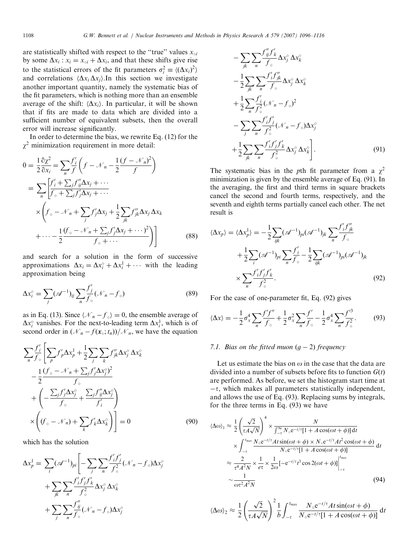are statistically shifted with respect to the "true" values  $x_{oi}$ by some  $\Delta x_i$ :  $x_i = x_{\text{o}i} + \Delta x_i$ , and that these shifts give rise to the statistical errors of the fit parameters  $\sigma_i^2 \equiv \langle (\Delta x_i)^2 \rangle$ and correlations  $\langle \Delta x_i \Delta x_j \rangle$ . In this section we investigate another important quantity, namely the systematic bias of the fit parameters, which is nothing more than an ensemble average of the shift:  $\langle \Delta x_i \rangle$ . In particular, it will be shown that if fits are made to data which are divided into a sufficient number of equivalent subsets, then the overall error will increase significantly.

In order to determine the bias, we rewrite Eq. (12) for the  $\chi^2$  minimization requirement in more detail:

$$
0 = \frac{1}{2} \frac{\partial \chi^2}{\partial x_i} = \sum_n \frac{f'_i}{f} \left( f - \mathcal{N}_n - \frac{1}{2} \frac{(f - \mathcal{N}_n)^2}{f} \right)
$$
  
\n
$$
= \sum_n \left[ \frac{f'_i + \sum_j f''_j \Delta x_j + \cdots}{f_\circ + \sum_j f'_j \Delta x_j + \cdots} \right]
$$
  
\n
$$
\times \left( f_\circ - \mathcal{N}_n + \sum_j f'_j \Delta x_j + \frac{1}{2} \sum_{jk} f''_{jk} \Delta x_j \Delta x_k + \cdots - \frac{1}{2} \frac{(f_\circ - \mathcal{N}_n + \sum_j f'_j \Delta x_j + \cdots)^2}{f_\circ + \cdots} \right)
$$
 (88)

and search for a solution in the form of successive approximations  $\Delta x_i = \Delta x_i^{\circ} + \Delta x_i^1 + \cdots$  with the leading approximation being

$$
\Delta x_i^\circ = \sum_j (\mathscr{A}^{-1})_{ij} \sum_n \frac{f'_j}{f_\circ} (\mathcal{N}_n - f_\circ) \tag{89}
$$

as in Eq. (13). Since  $\langle \mathcal{N}_n - f_{\circ} \rangle = 0$ , the ensemble average of  $\Delta x_i^{\circ}$  vanishes. For the next-to-leading term  $\Delta x_i^1$ , which is of second order in  $(\mathcal{N}_n - f(\mathbf{x}_0; t_n))/\mathcal{N}_n$ , we have the equation

$$
\sum_{n} \frac{f'_{i}}{f_{\circ}} \left[ \sum_{p} f'_{p} \Delta x_{p}^{1} + \frac{1}{2} \sum_{j} \sum_{k} f''_{jk} \Delta x_{j}^{\circ} \Delta x_{k}^{\circ} - \frac{1}{2} \frac{(f_{\circ} - \mathcal{N}_{n} + \sum_{j} f'_{j} \Delta x_{j}^{\circ})^{2}}{f_{\circ}} + \left( -\frac{\sum_{j} f'_{j} \Delta x_{j}^{\circ}}{f_{\circ}} + \frac{\sum_{j} f''_{ij} \Delta x_{j}^{\circ}}{f'_{i}} \right) \times \left( (f_{\circ} - \mathcal{N}_{n}) + \sum_{k} f'_{k} \Delta x_{k}^{\circ} \right) = 0 \tag{90}
$$

which has the solution

$$
\Delta x_p^1 = \sum_i (\mathcal{A}^{-1})_{pi} \left[ -\sum_j \sum_n \frac{f'_i f'_j}{f^2_{\circ}} (\mathcal{N}_n - f_{\circ}) \Delta x_j^{\circ} + \sum_{jk} \sum_n \frac{f'_j f'_j f'_k}{f^2_{\circ}} \Delta x_j^{\circ} \Delta x_k^{\circ} + \sum_j \sum_n \frac{f''_j}{f_{\circ}} (\mathcal{N}_n - f_{\circ}) \Delta x_j^{\circ}
$$

$$
- \sum_{jk} \sum_{n} \frac{f_{ij}^{"} f_{k}^{"} }{f_{\circ}} \Delta x_{j}^{\circ} \Delta x_{k}^{\circ}
$$
  

$$
- \frac{1}{2} \sum_{jk} \sum_{n} \frac{f_{j}^{'} f_{jk}^{"} }{f_{\circ}} \Delta x_{j}^{\circ} \Delta x_{k}^{\circ}
$$
  

$$
+ \frac{1}{2} \sum_{n} \frac{f_{j}^{'}}{f_{\circ}^{2}} (\mathcal{N}_{n} - f_{\circ})^{2}
$$
  

$$
- \sum_{j} \sum_{n} \frac{f_{j}^{'} f_{j}^{'}}{f_{\circ}^{2}} (\mathcal{N}_{n} - f_{\circ}) \Delta x_{j}^{\circ}
$$
  

$$
+ \frac{1}{2} \sum_{jk} \sum_{n} \frac{f_{j}^{'} f_{j}^{'} f_{k}^{'}}{f_{\circ}^{2}} \Delta x_{j}^{\circ} \Delta x_{k}^{\circ} \Bigg].
$$
  
(91)

The systematic bias in the pth fit parameter from a  $\chi^2$ minimization is given by the ensemble average of Eq. (91). In the averaging, the first and third terms in square brackets cancel the second and fourth terms, respectively, and the seventh and eighth terms partially cancel each other. The net result is

$$
\langle \Delta x_p \rangle = \langle \Delta x_p^1 \rangle = -\frac{1}{2} \sum_{ijk} (\mathcal{A}^{-1})_{pi} (\mathcal{A}^{-1})_{jk} \sum_n \frac{f'_i f''_j}{f_o}
$$
  
+ 
$$
\frac{1}{2} \sum_i (\mathcal{A}^{-1})_{pi} \sum_n \frac{f'_i}{f_o} - \frac{1}{2} \sum_{ijk} (\mathcal{A}^{-1})_{pi} (\mathcal{A}^{-1})_{jk}
$$
  

$$
\times \sum_n \frac{f'_i f'_j f'_k}{f_o^2}.
$$
 (92)

For the case of one-parameter fit, Eq. (92) gives

$$
\langle \Delta x \rangle = -\frac{1}{2} \sigma_x^4 \sum_n \frac{f' f''}{f_\circ} + \frac{1}{2} \sigma_x^2 \sum_n \frac{f'}{f_\circ} - \frac{1}{2} \sigma_x^4 \sum_n \frac{f'^3}{f_\circ^2}.
$$
 (93)

### 7.1. Bias on the fitted muon  $(g - 2)$  frequency

Let us estimate the bias on  $\omega$  in the case that the data are divided into a number of subsets before fits to function  $G(t)$ are performed. As before, we set the histogram start time at  $-\tau$ , which makes all parameters statistically independent, and allows the use of Eq. (93). Replacing sums by integrals, for the three terms in Eq. (93) we have

$$
\langle \Delta \omega \rangle_{1} \approx \frac{1}{2} \left( \frac{\sqrt{2}}{\tau A \sqrt{N}} \right)^{4} \times \frac{N}{\int_{-\tau}^{\infty} N_{\circ} e^{-t/\tau} [1 + A \cos(\omega t + \phi)] dt}
$$
  
 
$$
\times \int_{-\tau}^{\tau_{\text{max}}} \frac{N_{\circ} e^{-t/\tau} A t \sin(\omega t + \phi) \times N_{\circ} e^{-t/\tau} A t^{2} \cos(\omega t + \phi)}{N_{\circ} e^{-t/\tau} [1 + A \cos(\omega t + \phi)]} dt
$$
  
 
$$
\approx \frac{2}{\tau^{4} A^{2} N} \times \frac{1}{e \tau} \times \frac{1}{2\omega} [-e^{-t/\tau} t^{3} \cos 2(\omega t + \phi)] \Big|_{-\tau}^{\tau_{\text{max}}}
$$
  
\sim 
$$
\frac{1}{\omega \tau^{2} A^{2} N}
$$
(94)

$$
\langle \Delta \omega \rangle_2 \approx \frac{1}{2} \left( \frac{\sqrt{2}}{\tau A \sqrt{N}} \right)^2 \frac{1}{b} \int_{-\tau}^{t_{\text{max}}} \frac{N_{\circ} e^{-t/\tau} At \sin(\omega t + \phi)}{N_{\circ} e^{-t/\tau} [1 + A \cos(\omega t + \phi)]} dt
$$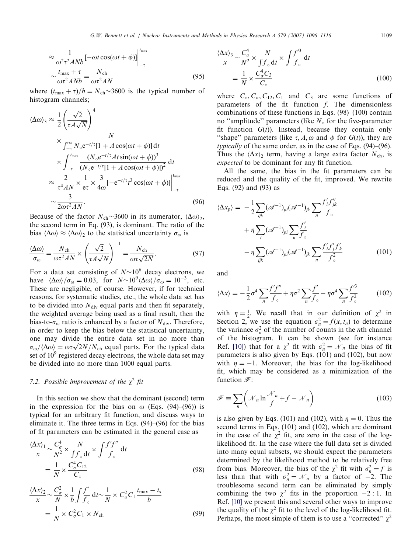$$
\approx \frac{1}{\omega^2 \tau^2 A N b} \left[ -\omega t \cos(\omega t + \phi) \right] \Big|_{-\tau}^{t_{\text{max}}} \sim \frac{t_{\text{max}} + \tau}{\omega \tau^2 A N b} = \frac{N_{\text{ch}}}{\omega \tau^2 A N}
$$
\n(95)

where  $(t_{\text{max}} + \tau)/b = N_{\text{ch}} \sim 3600$  is the typical number of histogram channels;

$$
\langle \Delta \omega \rangle_3 \approx \frac{1}{2} \left( \frac{\sqrt{2}}{\tau A \sqrt{N}} \right)^4
$$
  
\n
$$
\times \frac{N}{\int_{-\tau}^{\infty} N \cdot e^{-t/\tau} [1 + A \cos(\omega t + \phi)] dt}
$$
  
\n
$$
\times \int_{-\tau}^{t_{\text{max}}} \frac{(N \cdot e^{-t/\tau} A t \sin(\omega t + \phi))^3}{(N \cdot e^{-t/\tau} [1 + A \cos(\omega t + \phi)])^2} dt
$$
  
\n
$$
\approx \frac{2}{\tau^4 A N} \times \frac{1}{e \tau} \times \frac{3}{4\omega} [-e^{-t/\tau} t^3 \cos(\omega t + \phi)] \Big|_{-\tau}^{t_{\text{max}}}
$$
  
\n
$$
\sim \frac{3}{2\omega \tau^2 A N}.
$$
 (96)

Because of the factor  $N_{ch} \sim 3600$  in its numerator,  $\langle \Delta \omega \rangle_2$ , the second term in Eq. (93), is dominant. The ratio of the bias  $\langle \Delta \omega \rangle \approx \langle \Delta \omega \rangle_2$  to the statistical uncertainty  $\sigma_{\omega}$  is

$$
\frac{\langle \Delta \omega \rangle}{\sigma_{\omega}} = \frac{N_{\text{ch}}}{\omega \tau^2 A N} \times \left(\frac{\sqrt{2}}{\tau A \sqrt{N}}\right)^{-1} = \frac{N_{\text{ch}}}{\omega \tau \sqrt{2N}}.
$$
\n(97)

For a data set consisting of  $N \sim 10^6$  decay electrons, we have  $\langle \Delta \omega \rangle / \sigma_{\omega} = 0.03$ , for  $N \sim 10^9 \langle \Delta \omega \rangle / \sigma_{\omega} = 10^{-3}$ , etc. These are negligible, of course. However, if for technical reasons, for systematic studies, etc., the whole data set has to be divided into  $N_{\text{div}}$  equal parts and then fit separately, the weighted average being used as a final result, then the bias-to- $\sigma_{\omega}$  ratio is enhanced by a factor of  $N_{\text{div}}$ . Therefore, in order to keep the bias below the statistical uncertainty, one may divide the entire data set in no more than one may divide the entire data set in no more than  $\sigma_{\omega}/\langle\Delta\omega\rangle = \omega \tau \sqrt{2N}/N_{\rm ch}$  equal parts. For the typical data set of  $10<sup>9</sup>$  registered decay electrons, the whole data set may be divided into no more than 1000 equal parts.

### 7.2. Possible improvement of the  $\chi^2$  fit

In this section we show that the dominant (second) term in the expression for the bias on  $\omega$  (Eqs. (94)–(96)) is typical for an arbitrary fit function, and discuss ways to eliminate it. The three terms in Eqs. (94)–(96) for the bias of fit parameters can be estimated in the general case as

$$
\frac{\langle \Delta x \rangle_1}{x} \sim \frac{C_\sigma^4}{N^2} \times \frac{N}{\int f_\circ dt} \times \int \frac{f'f''}{f_\circ} dt
$$

$$
= \frac{1}{N} \times \frac{C_\sigma^4 C_{12}}{C_\circ} \tag{98}
$$

$$
\frac{\langle \Delta x \rangle_2}{x} \sim \frac{C_\sigma^2}{N} \times \frac{1}{b} \int \frac{f'}{f_\circ} \, \mathrm{d}t \sim \frac{1}{N} \times C_\sigma^2 C_1 \frac{t_{\text{max}} - t_s}{b}
$$
\n
$$
= \frac{1}{N} \times C_\sigma^2 C_1 \times N_{\text{ch}} \tag{99}
$$

$$
\frac{\langle \Delta x \rangle_3}{x} \sim \frac{C_\sigma^4}{N^2} \times \frac{N}{\int f_\circ dt} \times \int \frac{f'^3}{f_\circ} dt
$$

$$
= \frac{1}{N} \times \frac{C_\sigma^4 C_3}{C_\circ} \tag{100}
$$

where  $C_0$ ,  $C_0$ ,  $C_{12}$ ,  $C_1$  and  $C_3$  are some functions of parameters of the fit function f. The dimensionless combinations of these functions in Eqs. (98)–(100) contain no "amplitude" parameters (like  $N_{\circ}$  for the five-parameter fit function  $G(t)$ ). Instead, because they contain only "shape" parameters (like  $\tau$ , A,  $\omega$  and  $\phi$  for  $G(t)$ ), they are typically of the same order, as in the case of Eqs. (94)–(96). Thus the  $\langle \Delta x \rangle$  term, having a large extra factor  $N_{ch}$ , is expected to be dominant for any fit function.

All the same, the bias in the fit parameters can be reduced and the quality of the fit, improved. We rewrite Eqs. (92) and (93) as

$$
\langle \Delta x_p \rangle = -\frac{1}{2} \sum_{ijk} (\mathcal{A}^{-1})_{pi} (\mathcal{A}^{-1})_{jk} \sum_n \frac{f'_i f''_{jk}}{f_{\circ}}
$$
  
+  $\eta \sum_i (\mathcal{A}^{-1})_{pi} \sum_n \frac{f'_i}{f_{\circ}}$   
-  $\eta \sum_{ijk} (\mathcal{A}^{-1})_{pi} (\mathcal{A}^{-1})_{jk} \sum_n \frac{f'_i f'_j f'_k}{f_{\circ}^2}$  (101)

and

$$
\langle \Delta x \rangle = -\frac{1}{2}\sigma^4 \sum_{n} \frac{f'f''}{f_{\circ}} + \eta \sigma^2 \sum_{n} \frac{f'}{f_{\circ}} - \eta \sigma^4 \sum_{n} \frac{f'^3}{f_{\circ}^2} \tag{102}
$$

with  $\eta = \frac{1}{2}$ . We recall that in our definition of  $\chi^2$  in Section 2, we use the equation  $\sigma_n^2 = f(x, t_n)$  to determine the variance  $\sigma_n^2$  of the number of counts in the *n*th channel of the histogram. It can be shown (see for instance Ref. [\[10\]\)](#page-20-0) that for a  $\chi^2$  fit with  $\sigma_n^2 = \mathcal{N}_n$  the bias of fit parameters is also given by Eqs. (101) and (102), but now with  $\eta = -1$ . Moreover, the bias for the log-likelihood fit, which may be considered as a minimization of the function  $\mathscr{F}$ :

$$
\mathcal{F} \equiv \sum_{n} \left( \mathcal{N}_{n} \ln \frac{\mathcal{N}_{n}}{f} + f - \mathcal{N}_{n} \right)
$$
 (103)

is also given by Eqs. (101) and (102), with  $\eta = 0$ . Thus the second terms in Eqs. (101) and (102), which are dominant in the case of the  $\chi^2$  fit, are zero in the case of the loglikelihood fit. In the case where the full data set is divided into many equal subsets, we should expect the parameters determined by the likelihood method to be relatively free from bias. Moreover, the bias of the  $\chi^2$  fit with  $\sigma_n^2 = f$  is less than that with  $\sigma_n^2 = \mathcal{N}_n$  by a factor of  $-2$ . The troublesome second term can be eliminated by simply combining the two  $\chi^2$  fits in the proportion  $-2:1$ . In Ref. [\[10\]](#page-20-0) we present this and several other ways to improve the quality of the  $\chi^2$  fit to the level of the log-likelihood fit. Perhaps, the most simple of them is to use a "corrected"  $\chi^2$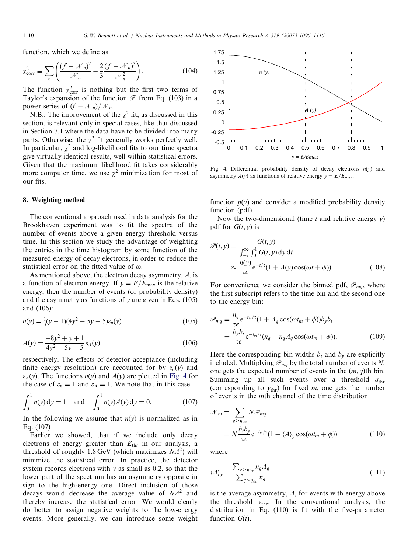function, which we define as

$$
\chi_{\text{corr}}^2 \equiv \sum_n \left( \frac{\left(f - \mathcal{N}_n\right)^2}{\mathcal{N}_n} - \frac{2}{3} \frac{\left(f - \mathcal{N}_n\right)^3}{\mathcal{N}_n^2} \right). \tag{104}
$$

The function  $\chi^2_{\text{corr}}$  is nothing but the first two terms of Taylor's expansion of the function  $\mathcal F$  from Eq. (103) in a power series of  $(f - \mathcal{N}_n)/\mathcal{N}_n$ .

N.B.: The improvement of the  $\chi^2$  fit, as discussed in this section, is relevant only in special cases, like that discussed in Section 7.1 where the data have to be divided into many parts. Otherwise, the  $\chi^2$  fit generally works perfectly well. In particular,  $\chi^2$  and log-likelihood fits to our time spectra give virtually identical results, well within statistical errors. Given that the maximum likelihood fit takes considerably more computer time, we use  $\chi^2$  minimization for most of our fits.

### 8. Weighting method

The conventional approach used in data analysis for the Brookhaven experiment was to fit the spectra of the number of events above a given energy threshold versus time. In this section we study the advantage of weighting the entries in the time histogram by some function of the measured energy of decay electrons, in order to reduce the statistical error on the fitted value of  $\omega$ .

As mentioned above, the electron decay asymmetry, A, is a function of electron energy. If  $y = E/E_{\text{max}}$  is the relative energy, then the number of events (or probability density) and the asymmetry as functions of  $\nu$  are given in Eqs. (105) and (106):

$$
n(y) = \frac{1}{3}(y-1)(4y^2 - 5y - 5)\varepsilon_n(y)
$$
\n(105)

$$
A(y) = \frac{-8y^2 + y + 1}{4y^2 - 5y - 5} \varepsilon_A(y)
$$
 (106)

respectively. The effects of detector acceptance (including finite energy resolution) are accounted for by  $\varepsilon_n(y)$  and  $\varepsilon_A(y)$ . The functions  $n(y)$  and  $A(y)$  are plotted in Fig. 4 for the case of  $\varepsilon_n = 1$  and  $\varepsilon_A = 1$ . We note that in this case

$$
\int_0^1 n(y) \, dy = 1 \quad \text{and} \quad \int_0^1 n(y) A(y) \, dy = 0. \tag{107}
$$

In the following we assume that  $n(y)$  is normalized as in Eq. (107)

Earlier we showed, that if we include only decay electrons of energy greater than  $E_{thr}$  in our analysis, a threshold of roughly 1.8 GeV (which maximizes  $NA^2$ ) will minimize the statistical error. In practice, the detector system records electrons with  $y$  as small as 0.2, so that the lower part of the spectrum has an asymmetry opposite in sign to the high-energy one. Direct inclusion of those decays would decrease the average value of  $NA^2$  and thereby increase the statistical error. We would clearly do better to assign negative weights to the low-energy events. More generally, we can introduce some weight



Fig. 4. Differential probability density of decay electrons  $n(y)$  and asymmetry  $A(y)$  as functions of relative energy  $y = E/E_{\text{max}}$ .

function  $p(y)$  and consider a modified probability density function (pdf).

Now the two-dimensional (time  $t$  and relative energy  $y$ ) pdf for  $G(t, y)$  is

$$
\mathcal{P}(t, y) = \frac{G(t, y)}{\int_{-\tau}^{\infty} \int_{0}^{1} G(t, y) dy dt}
$$

$$
\approx \frac{n(y)}{\tau e} e^{-t/\tau} (1 + A(y) \cos(\omega t + \phi)).
$$
(108)

For convenience we consider the binned pdf,  $\mathscr{P}_{mq}$ , where the first subscript refers to the time bin and the second one to the energy bin:

$$
\mathcal{P}_{mq} = \frac{n_q}{\tau e} e^{-t_m/\tau} (1 + A_q \cos(\omega t_m + \phi)) b_y b_t
$$
  
= 
$$
\frac{b_y b_t}{\tau e} e^{-t_m/\tau} (n_q + n_q A_q \cos(\omega t_m + \phi)).
$$
 (109)

Here the corresponding bin widths  $b_t$  and  $b_y$  are explicitly included. Multiplying  $\mathcal{P}_{mq}$  by the total number of events N, one gets the expected number of events in the  $(m, q)$ th bin. Summing up all such events over a threshold  $q_{\text{thr}}$ (corresponding to  $y_{thr}$ ) for fixed m, one gets the number of events in the mth channel of the time distribution:

$$
\mathcal{N}_m \equiv \sum_{q > q_{\text{thr}}} N \mathcal{P}_{mq}
$$
  
=  $N \frac{b_l b_y}{\tau e} e^{-t_m/\tau} (1 + \langle A \rangle_y \cos(\omega t_m + \phi))$  (110)

where

$$
\langle A \rangle_{y} \equiv \frac{\sum_{q > q_{\text{thr}}} n_q A_q}{\sum_{q > q_{\text{thr}}} n_q} \tag{111}
$$

is the average asymmetry, A, for events with energy above the threshold  $y_{thr}$ . In the conventional analysis, the distribution in Eq. (110) is fit with the five-parameter function  $G(t)$ .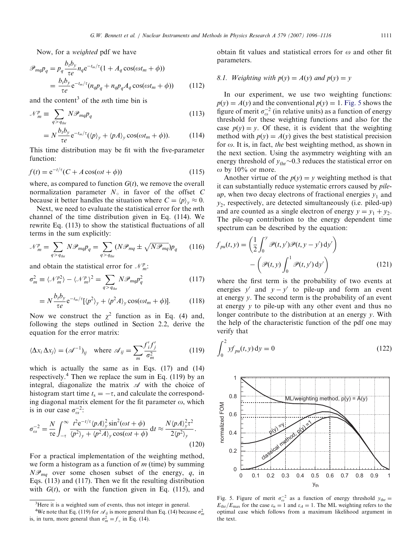Now, for a weighted pdf we have

$$
\mathcal{P}_{mq}p_q = p_q \frac{b_t b_y}{\tau e} n_q e^{-t_m/\tau} (1 + A_q \cos(\omega t_m + \phi))
$$
  
= 
$$
\frac{b_t b_y}{\tau e} e^{-t_m/\tau} (n_q p_q + n_q p_q A_q \cos(\omega t_m + \phi))
$$
(112)

and the content<sup>3</sup> of the *mth* time bin is

$$
\mathcal{N}_m^p \equiv \sum_{q > q_{\text{thr}}} N \mathcal{P}_{mq} p_q \tag{113}
$$

$$
= N \frac{b_t b_y}{\tau e} e^{-t_m/\tau} (\langle p \rangle_y + \langle p A \rangle_y \cos(\omega t_m + \phi)). \tag{114}
$$

This time distribution may be fit with the five-parameter function:

$$
f(t) = e^{-t/\tau} (C + A\cos(\omega t + \phi))
$$
\n(115)

where, as compared to function  $G(t)$ , we remove the overall normalization parameter  $N_0$  in favor of the offset C because it better handles the situation where  $C = \langle p \rangle_v \approx 0$ .

Next, we need to evaluate the statistical error for the mth channel of the time distribution given in Eq. (114). We rewrite Eq. (113) to show the statistical fluctuations of all terms in the sum explicitly:

$$
\mathcal{N}_m^p = \sum_{q > q_{\text{thr}}} N \mathcal{P}_{mq} p_q = \sum_{q > q_{\text{thr}}} (N \mathcal{P}_{mq} \pm \sqrt{N \mathcal{P}_{mq}}) p_q \qquad (116)
$$

and obtain the statistical error for  $\mathcal{N}_m^p$ .

$$
\sigma_m^2 \equiv \langle \mathcal{N}_m^{p2} \rangle - \langle \mathcal{N}_m^p \rangle^2 = \sum_{q > q_{\text{thr}}} N \mathcal{P}_{mq} p_q^2 \tag{117}
$$

$$
= N \frac{b_t b_y}{\tau e} e^{-t_m/\tau} [\langle p^2 \rangle_y + \langle p^2 A \rangle_y \cos(\omega t_m + \phi)]. \tag{118}
$$

Now we construct the  $\chi^2$  function as in Eq. (4) and, following the steps outlined in Section 2.2, derive the equation for the error matrix:

$$
\langle \Delta x_i \, \Delta x_j \rangle = (\mathcal{A}^{-1})_{ij} \quad \text{where } \mathcal{A}_{ij} = \sum_m \frac{f'_i f'_j}{\sigma_m^2} \tag{119}
$$

which is actually the same as in Eqs. (17) and (14) respectively.<sup>4</sup> Then we replace the sum in Eq. (119) by an integral, diagonalize the matrix  $\mathscr A$  with the choice of histogram start time  $t_s = -\tau$ , and calculate the corresponding diagonal matrix element for the fit parameter  $\omega$ , which is in our case  $\sigma_{\omega}^{-2}$ :

$$
\sigma_{\omega}^{-2} = \frac{N}{\tau \epsilon} \int_{-\tau}^{\infty} \frac{t^2 e^{-t/\tau} \langle p A \rangle_y^2 \sin^2(\omega t + \phi)}{\langle p^2 \rangle_y + \langle p^2 A \rangle_y \cos(\omega t + \phi)} dt \approx \frac{N \langle p A \rangle_y^2 \tau^2}{2 \langle p^2 \rangle_y}.
$$
\n(120)

For a practical implementation of the weighting method, we form a histogram as a function of  $m$  (time) by summing  $N\mathcal{P}_{mq}$  over some chosen subset of the energy, q, in Eqs. (113) and (117). Then we fit the resulting distribution with  $G(t)$ , or with the function given in Eq. (115), and obtain fit values and statistical errors for  $\omega$  and other fit parameters.

# 8.1. Weighting with  $p(y) = A(y)$  and  $p(y) = y$

In our experiment, we use two weighting functions:  $p(y) = A(y)$  and the conventional  $p(y) = 1$ . Fig. 5 shows the figure of merit  $\sigma_{\omega}^{-2}$  (in relative units) as a function of energy threshold for these weighting functions and also for the case  $p(y) = y$ . Of these, it is evident that the weighting method with  $p(y) = A(y)$  gives the best statistical precision for  $\omega$ . It is, in fact, the best weighting method, as shown in the next section. Using the asymmetry weighting with an energy threshold of  $y_{thr}$   $\sim$  0.3 reduces the statistical error on  $\omega$  by 10% or more.

Another virtue of the  $p(y) = y$  weighting method is that it can substantially reduce systematic errors caused by pileup, when two decay electrons of fractional energies  $y_1$  and  $y_2$ , respectively, are detected simultaneously (i.e. piled-up) and are counted as a single electron of energy  $y = y_1 + y_2$ . The pile-up contribution to the energy dependent time spectrum can be described by the equation:

$$
f_{pu}(t, y) = \left(\frac{1}{2} \int_0^y \mathcal{P}(t, y') \mathcal{P}(t, y - y') dy'\right) - \left(\mathcal{P}(t, y) \int_0^1 \mathcal{P}(t, y') dy'\right)
$$
(121)

where the first term is the probability of two events at energies y' and  $y - y'$  to pile-up and form an event at energy y. The second term is the probability of an event at energy y to pile-up with any other event and thus no longer contribute to the distribution at an energy y. With the help of the characteristic function of the pdf one may verify that

$$
\int_0^2 y f_{pu}(t, y) \, dy = 0 \tag{122}
$$



Fig. 5. Figure of merit  $\sigma_{\omega}^{-2}$  as a function of energy threshold  $y_{\text{thr}} =$  $E_{\text{thr}}/E_{\text{max}}$  for the case  $\varepsilon_n = 1$  and  $\varepsilon_A = 1$ . The ML weighting refers to the optimal case which follows from a maximum likelihood argument in the text.

<sup>&</sup>lt;sup>3</sup>Here it is a weighted sum of events, thus not integer in general.

<sup>&</sup>lt;sup>4</sup>We note that Eq. (119) for  $\mathcal{A}_{ij}$  is more general than Eq. (14) because  $\sigma_m^2$  is, in turn, more general than  $\sigma_m^2 = f_\circ$  in Eq. (14).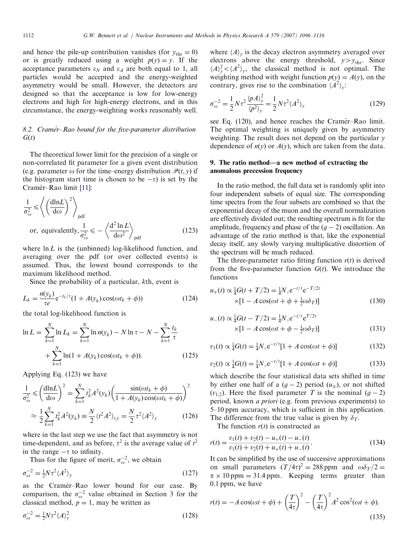and hence the pile-up contribution vanishes (for  $y_{thr} = 0$ ) or is greatly reduced using a weight  $p(y) = y$ . If the acceptance parameters  $\varepsilon_N$  and  $\varepsilon_A$  are both equal to 1, all particles would be accepted and the energy-weighted asymmetry would be small. However, the detectors are designed so that the acceptance is low for low-energy electrons and high for high-energy electrons, and in this circumstance, the energy-weighting works reasonably well.

# 8.2. Cramér–Rao bound for the five-parameter distribution  $G(t)$

The theoretical lower limit for the precision of a single or non-correlated fit parameter for a given event distribution (e.g. parameter  $\omega$  for the time–energy distribution  $\mathcal{P}(t, v)$  if the histogram start time is chosen to be  $-\tau$ ) is set by the Cramér-Rao limit [\[11\]:](#page-20-0)

$$
\frac{1}{\sigma_{\omega}^{2}} \le \left\langle \left(\frac{\text{dln}L}{\text{d}\omega}\right)^{2} \right\rangle_{\text{pdf}}
$$
\nor, equivalently,  $\frac{1}{\sigma_{\omega}^{2}} \le -\left\langle \frac{\text{d}^{2} \ln L}{\text{d}\omega^{2}} \right\rangle_{\text{pdf}}$  (123)

where  $\ln L$  is the (unbinned) log-likelihood function, and averaging over the pdf (or over collected events) is assumed. Thus, the lowest bound corresponds to the maximum likelihood method.

Since the probability of a particular, kth, event is

$$
L_k = \frac{n(y_k)}{\tau e} e^{-t_k/\tau} (1 + A(y_k) \cos(\omega t_k + \phi))
$$
\n(124)

the total log-likelihood function is

$$
\ln L = \sum_{k=1}^{N} \ln L_k = \sum_{k=1}^{N} \ln n(y_k) - N \ln \tau - N - \sum_{k=1}^{N} \frac{t_k}{\tau} + \sum_{k=1}^{N} \ln(1 + A(y_k) \cos(\omega t_k + \phi)).
$$
\n(125)

Applying Eq. (123) we have

$$
\frac{1}{\sigma_{\omega}^2} \le \left(\frac{\text{dln}L}{\text{d}\omega}\right)^2 = \sum_{k=1}^{N} t_k^2 A^2(y_k) \left(\frac{\sin(\omega t_k + \phi)}{1 + A(y_k)\cos(\omega t_k + \phi)}\right)^2
$$

$$
\approx \frac{1}{2} \sum_{k=1}^{N} t_k^2 A^2(y_k) \equiv \frac{N}{2} \langle t^2 A^2 \rangle_{t,y} = \frac{N}{2} \tau^2 \langle A^2 \rangle_{y}
$$
(126)

where in the last step we use the fact that asymmetry is not time-dependent, and as before,  $\tau^2$  is the average value of  $t^2$ in the range  $-\tau$  to infinity.

Thus for the figure of merit,  $\sigma_{\omega}^{-2}$ , we obtain

$$
\sigma_{\omega}^{-2} = \frac{1}{2} N \tau^2 \langle A^2 \rangle_y \tag{127}
$$

as the Cramér-Rao lower bound for our case. By comparison, the  $\sigma_{\omega}^{-2}$  value obtained in Section 3 for the classical method,  $p = 1$ , may be written as

$$
\sigma_{\omega}^{-2} = \frac{1}{2} N \tau^2 \langle A \rangle_{y}^2 \tag{128}
$$

where  $\langle A \rangle$ <sub>v</sub> is the decay electron asymmetry averaged over electrons above the energy threshold,  $y>y_{\text{thr}}$ . Since  $\langle A \rangle_y^2 < \langle A^2 \rangle_y$ , the classical method is not optimal. The weighting method with weight function  $p(y) = A(y)$ , on the contrary, gives rise to the combination  $\langle A^2 \rangle$ .

$$
\sigma_{\omega}^{-2} = \frac{1}{2} N \tau^2 \frac{\langle p A \rangle_y^2}{\langle p^2 \rangle_y} = \frac{1}{2} N \tau^2 \langle A^2 \rangle_y \tag{129}
$$

see Eq. (120), and hence reaches the Cramér–Rao limit. The optimal weighting is uniquely given by asymmetry weighting. The result does not depend on the particular  $\nu$ dependence of  $n(y)$  or  $A(y)$ , which are taken from the data.

### 9. The ratio method—a new method of extracting the anomalous precession frequency

In the ratio method, the full data set is randomly split into four independent subsets of equal size. The corresponding time spectra from the four subsets are combined so that the exponential decay of the muon and the overall normalization are effectively divided out; the resulting spectrum is fit for the amplitude, frequency and phase of the  $(g - 2)$  oscillation. An advantage of the ratio method is that, like the exponential decay itself, any slowly varying multiplicative distortion of the spectrum will be much reduced.

The three-parameter ratio fitting function  $r(t)$  is derived from the five-parameter function  $G(t)$ . We introduce the functions

$$
u_{+}(t) \propto \frac{1}{4} G(t + T/2) = \frac{1}{4} N_{\circ} e^{-t/\tau} e^{-T/2\tau}
$$
  
×[1 - A cos(\omega t + \phi + \frac{1}{2}\omega \delta\_{T})] (130)

$$
u_{-}(t) \propto \frac{1}{4} G(t - T/2) = \frac{1}{4} N_{\circ} e^{-t/\tau} e^{T/2\tau}
$$
  
×[1 - A cos(\omega t + \phi - \frac{1}{2}\omega \delta\_T)] (131)

$$
v_1(t) \propto \frac{1}{4} G(t) = \frac{1}{4} N_{\circ} e^{-t/\tau} [1 + A \cos(\omega t + \phi)] \tag{132}
$$

$$
v_2(t) \propto \frac{1}{4} G(t) = \frac{1}{4} N_{\circ} e^{-t/\tau} [1 + A \cos(\omega t + \phi)] \tag{133}
$$

which describe the four statistical data sets shifted in time by either one half of a  $(g - 2)$  period  $(u<sub>±</sub>)$ , or not shifted  $(v_{1,2})$ . Here the fixed parameter T is the nominal  $(g - 2)$ period, known a priori (e.g. from previous experiments) to 5–10 ppm accuracy, which is sufficient in this application. The difference from the true value is given by  $\delta_T$ .

The function  $r(t)$  is constructed as

$$
r(t) = \frac{v_1(t) + v_2(t) - u_+(t) - u_-(t)}{v_1(t) + v_2(t) + u_+(t) + u_-(t)}.
$$
\n(134)

It can be simplified by the use of successive approximations on small parameters  $(T/4\tau)^2 = 288$  ppm and  $\omega \delta_T/2 =$  $\pi \times 10$  ppm = 31.4 ppm. Keeping terms greater than 0.1 ppm, we have

$$
r(t) = -A\cos(\omega t + \phi) + \left(\frac{T}{4\tau}\right)^2 - \left(\frac{T}{4\tau}\right)^2 A^2 \cos^2(\omega t + \phi).
$$
\n(135)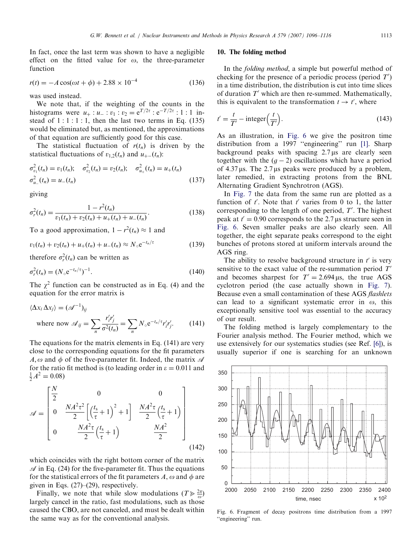<span id="page-17-0"></span>In fact, once the last term was shown to have a negligible effect on the fitted value for  $\omega$ , the three-parameter function

$$
r(t) = -A\cos(\omega t + \phi) + 2.88 \times 10^{-4}
$$
 (136)

was used instead.

We note that, if the weighting of the counts in the histograms were  $u_+ : u_- : v_1 : v_2 = e^{T/2\tau} : e^{-T/2\tau} : 1 : 1$  instead of  $1:1:1:1$ , then the last two terms in Eq. (135) would be eliminated but, as mentioned, the approximations of that equation are sufficiently good for this case.

The statistical fluctuation of  $r(t_n)$  is driven by the statistical fluctuations of  $v_{1,2}(t_n)$  and  $u_{+-}(t_n)$ :

$$
\sigma_{v_1}^2(t_n) = v_1(t_n); \quad \sigma_{v_2}^2(t_n) = v_2(t_n); \quad \sigma_{u_+}^2(t_n) = u_+(t_n)
$$
  

$$
\sigma_{u_-}^2(t_n) = u_-(t_n)
$$
 (137)

giving

$$
\sigma_r^2(t_n) = \frac{1 - r^2(t_n)}{v_1(t_n) + v_2(t_n) + u_+(t_n) + u_-(t_n)}.
$$
\n(138)

To a good approximation,  $1 - r^2(t_n) \approx 1$  and

$$
v_1(t_n) + v_2(t_n) + u_+(t_n) + u_-(t_n) \approx N_\circ e^{-t_n/\tau}
$$
 (139)

therefore  $\sigma_r^2(t_n)$  can be written as

$$
\sigma_r^2(t_n) = (N_{\circ} e^{-t_n/\tau})^{-1}.
$$
\n(140)

The  $\chi^2$  function can be constructed as in Eq. (4) and the equation for the error matrix is

$$
\langle \Delta x_i \, \Delta x_j \rangle = (\mathcal{A}^{-1})_{ij}
$$
\nwhere now

\n
$$
\mathcal{A}_{ij} = \sum_n \frac{r'_i r'_j}{\sigma^2(t_n)} = \sum_n N_{\circ} e^{-t_n/\tau} r'_i r'_j.
$$
\n(141)

The equations for the matrix elements in Eq. (141) are very close to the corresponding equations for the fit parameters  $A, \omega$  and  $\phi$  of the five-parameter fit. Indeed, the matrix  $\mathscr A$ for the ratio fit method is (to leading order in  $\varepsilon = 0.011$  and  $\frac{1}{2}A^2 = 0.08$ 

$$
\mathcal{A} = \begin{bmatrix} \frac{N}{2} & 0 & 0 \\ 0 & \frac{NA^2 \tau^2}{2} \left[ \left( \frac{t_s}{\tau} + 1 \right)^2 + 1 \right] & \frac{NA^2 \tau}{2} \left( \frac{t_s}{\tau} + 1 \right) \\ 0 & \frac{NA^2 \tau}{2} \left( \frac{t_s}{\tau} + 1 \right) & \frac{NA^2}{2} \end{bmatrix}
$$
\n(142)

which coincides with the right bottom corner of the matrix  $\mathcal A$  in Eq. (24) for the five-parameter fit. Thus the equations for the statistical errors of the fit parameters A,  $\omega$  and  $\phi$  are given in Eqs. (27)–(29), respectively.

Finally, we note that while slow modulations  $(T \ge \frac{2\pi}{\omega})$ largely cancel in the ratio, fast modulations, such as those caused the CBO, are not canceled, and must be dealt within the same way as for the conventional analysis.

#### 10. The folding method

In the folding method, a simple but powerful method of checking for the presence of a periodic process (period  $T'$ ) in a time distribution, the distribution is cut into time slices of duration  $T'$  which are then re-summed. Mathematically, this is equivalent to the transformation  $t \to t'$ , where

$$
t' = \frac{t}{T'} - \text{integer}\left(\frac{t}{T'}\right). \tag{143}
$$

As an illustration, in Fig. 6 we give the positron time distribution from a 1997 ''engineering'' run [\[1\]](#page-20-0). Sharp background peaks with spacing  $2.7 \mu s$  are clearly seen together with the  $(g - 2)$  oscillations which have a period of  $4.37 \,\mu s$ . The  $2.7 \,\mu s$  peaks were produced by a problem, later remedied, in extracting protons from the BNL Alternating Gradient Synchrotron (AGS).

In [Fig. 7](#page-18-0) the data from the same run are plotted as a function of  $t'$ . Note that  $t'$  varies from 0 to 1, the latter corresponding to the length of one period,  $T'$ . The highest peak at  $t' = 0.90$  corresponds to the 2.7 µs structure seen in Fig. 6. Seven smaller peaks are also clearly seen. All together, the eight separate peaks correspond to the eight bunches of protons stored at uniform intervals around the AGS ring.

The ability to resolve background structure in  $t'$  is very sensitive to the exact value of the re-summation period  $T'$ and becomes sharpest for  $T' = 2.694 \,\mu s$ , the true AGS cyclotron period (the case actually shown in [Fig. 7\)](#page-18-0). Because even a small contamination of these AGS flashlets can lead to a significant systematic error in  $\omega$ , this exceptionally sensitive tool was essential to the accuracy of our result.

The folding method is largely complementary to the Fourier analysis method. The Fourier method, which we use extensively for our systematics studies (see Ref. [\[6\]\)](#page-20-0), is usually superior if one is searching for an unknown



Fig. 6. Fragment of decay positrons time distribution from a 1997 "engineering" run.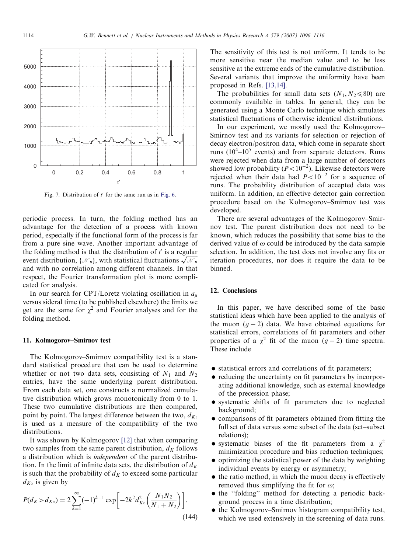<span id="page-18-0"></span>

Fig. 7. Distribution of  $t'$  for the same run as in [Fig. 6.](#page-17-0)

periodic process. In turn, the folding method has an advantage for the detection of a process with known period, especially if the functional form of the process is far from a pure sine wave. Another important advantage of the folding method is that the distribution of  $t'$  is a regular event distribution,  $\{\mathcal{N}_n\}$ , with statistical fluctuations  $\sqrt{\mathcal{N}_n}$ and with no correlation among different channels. In that respect, the Fourier transformation plot is more complicated for analysis.

In our search for CPT/Loretz violating oscillation in  $a<sub>u</sub>$ versus sideral time (to be published elsewhere) the limits we get are the same for  $\chi^2$  and Fourier analyses and for the folding method.

### 11. Kolmogorov–Smirnov test

The Kolmogorov–Smirnov compatibility test is a standard statistical procedure that can be used to determine whether or not two data sets, consisting of  $N_1$  and  $N_2$ entries, have the same underlying parent distribution. From each data set, one constructs a normalized cumulative distribution which grows monotonically from 0 to 1. These two cumulative distributions are then compared, point by point. The largest difference between the two,  $d_K$ , is used as a measure of the compatibility of the two distributions.

It was shown by Kolmogorov [\[12\]](#page-20-0) that when comparing two samples from the same parent distribution,  $d_K$  follows a distribution which is independent of the parent distribution. In the limit of infinite data sets, the distribution of  $d_K$ is such that the probability of  $d<sub>K</sub>$  to exceed some particular  $d_{K_0}$  is given by

$$
P(d_K > d_{K\circ}) = 2\sum_{k=1}^{\infty} (-1)^{k-1} \exp\left[-2k^2 d_{K\circ}^2 \left(\frac{N_1 N_2}{N_1 + N_2}\right)\right].
$$
\n(144)

The sensitivity of this test is not uniform. It tends to be more sensitive near the median value and to be less sensitive at the extreme ends of the cumulative distribution. Several variants that improve the uniformity have been proposed in Refs. [\[13,14\]](#page-20-0).

The probabilities for small data sets  $(N_1, N_2 \le 80)$  are commonly available in tables. In general, they can be generated using a Monte Carlo technique which simulates statistical fluctuations of otherwise identical distributions.

In our experiment, we mostly used the Kolmogorov– Smirnov test and its variants for selection or rejection of decay electron/positron data, which come in separate short runs  $(10^4 - 10^5$  events) and from separate detectors. Runs were rejected when data from a large number of detectors showed low probability ( $P < 10^{-2}$ ). Likewise detectors were rejected when their data had  $P < 10^{-2}$  for a sequence of runs. The probability distribution of accepted data was uniform. In addition, an effective detector gain correction procedure based on the Kolmogorov–Smirnov test was developed.

There are several advantages of the Kolmogorov–Smirnov test. The parent distribution does not need to be known, which reduces the possibility that some bias to the derived value of  $\omega$  could be introduced by the data sample selection. In addition, the test does not involve any fits or iteration procedures, nor does it require the data to be binned.

### 12. Conclusions

In this paper, we have described some of the basic statistical ideas which have been applied to the analysis of the muon  $(g - 2)$  data. We have obtained equations for statistical errors, correlations of fit parameters and other properties of a  $\chi^2$  fit of the muon  $(g-2)$  time spectra. These include

- statistical errors and correlations of fit parameters;
- reducing the uncertainty on fit parameters by incorporating additional knowledge, such as external knowledge of the precession phase;
- systematic shifts of fit parameters due to neglected background;
- comparisons of fit parameters obtained from fitting the full set of data versus some subset of the data (set–subset relations);
- systematic biases of the fit parameters from a  $\chi^2$ minimization procedure and bias reduction techniques;
- optimizing the statistical power of the data by weighting individual events by energy or asymmetry;
- $\bullet$  the ratio method, in which the muon decay is effectively removed thus simplifying the fit for  $\omega$ ;
- the "folding" method for detecting a periodic background process in a time distribution;
- the Kolmogorov–Smirnov histogram compatibility test, which we used extensively in the screening of data runs.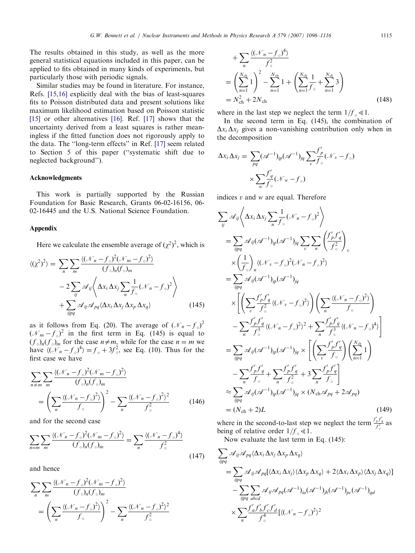G.W. Bennett et al. / Nuclear Instruments and Methods in Physics Research A 579 (2007) 1096–1116 1115

The results obtained in this study, as well as the more general statistical equations included in this paper, can be applied to fits obtained in many kinds of experiments, but particularly those with periodic signals.

Similar studies may be found in literature. For instance, Refs. [\[15,16\]](#page-20-0) explicitly deal with the bias of least-squares fits to Poisson distributed data and present solutions like maximum likelihood estimation based on Poisson statistic [\[15\]](#page-20-0) or other alternatives [\[16\]](#page-20-0). Ref. [\[17\]](#page-20-0) shows that the uncertainty derived from a least squares is rather meaningless if the fitted function does not rigorously apply to the data. The ''long-term effects'' in Ref. [\[17\]](#page-20-0) seem related to Section 5 of this paper (''systematic shift due to neglected background'').

#### Acknowledgments

This work is partially supported by the Russian Foundation for Basic Research, Grants 06-02-16156, 06- 02-16445 and the U.S. National Science Foundation.

### Appendix

Here we calculate the ensemble average of  $(\chi^2)^2$ , which is

$$
\langle (\chi^2)^2 \rangle = \sum_{n} \sum_{m} \frac{\langle (\mathcal{N}_n - f_o)^2 (\mathcal{N}_m - f_o)^2 \rangle}{(f_o)_n (f_o)_m}
$$

$$
- 2 \sum_{ij} \mathcal{A}_{ij} \langle \Delta x_i \Delta x_j \sum_{n} \frac{1}{f_o} (\mathcal{N}_n - f_o)^2 \rangle
$$

$$
+ \sum_{ijpq} \mathcal{A}_{ij} \mathcal{A}_{pq} \langle \Delta x_i \Delta x_j \Delta x_p \Delta x_q \rangle \qquad (145)
$$

as it follows from Eq. (20). The average of  $(\mathcal{N}_n - f_o)^2$  $(\mathcal{N}_m - f_{\circ})^2$  in the first term in Eq. (145) is equal to  $(f_0)_n(f_0)_m$  for the case  $n \neq m$ , while for the case  $n = m$  we have  $\langle (\mathcal{N}_n - f_{\circ})^4 \rangle = f_{\circ} + 3f_{\circ}^2$ , see Eq. (10). Thus for the first case we have

$$
\sum_{n \neq m} \sum_{m} \frac{\langle (\mathcal{N}_n - f_\circ)^2 (\mathcal{N}_m - f_\circ)^2 \rangle}{(f_\circ)_n (f_\circ)_m}
$$
  
= 
$$
\left( \sum_{n} \frac{\langle (\mathcal{N}_n - f_\circ)^2 \rangle}{f_\circ} \right)^2 - \sum_{n} \frac{\langle (\mathcal{N}_n - f_\circ)^2 \rangle^2}{f_\circ^2}
$$
(146)

and for the second case

$$
\sum_{n=m} \sum_{m} \frac{\langle (\mathcal{N}_n - f_\circ)^2 (\mathcal{N}_m - f_\circ)^2 \rangle}{(f_\circ)_n (f_\circ)_m} = \sum_{n} \frac{\langle (\mathcal{N}_n - f_\circ)^4 \rangle}{f_\circ^2}
$$
(147)

and hence

$$
\sum_{n} \sum_{m} \frac{\langle (\mathcal{N}_n - f_\circ)^2 (\mathcal{N}_m - f_\circ)^2 \rangle}{(f_\circ)_n (f_\circ)_m}
$$
  
= 
$$
\left( \sum_{n} \frac{\langle (\mathcal{N}_n - f_\circ)^2 \rangle}{f_\circ} \right)^2 - \sum_{n} \frac{\langle (\mathcal{N}_n - f_\circ)^2 \rangle^2}{f_\circ^2}
$$

$$
+\sum_{n} \frac{\langle (\mathcal{N}_n - f_{\circ})^4 \rangle}{f_{\circ}^2}
$$
  
=  $\left(\sum_{n=1}^{N_{\text{ch}}} 1\right)^2 - \sum_{n=1}^{N_{\text{ch}}} 1 + \left(\sum_{n=1}^{N_{\text{ch}}} \frac{1}{f_{\circ}} + \sum_{n=1}^{N_{\text{ch}}} 3\right)$   
=  $N_{\text{ch}}^2 + 2N_{\text{ch}}$  (148)

where in the last step we neglect the term  $1/f_{\circ} \ll 1$ .

In the second term in Eq. (145), the combination of  $\Delta x_i \Delta x_j$  gives a non-vanishing contribution only when in the decomposition

$$
\Delta x_i \, \Delta x_j = \sum_{pq} (\mathscr{A}^{-1})_{ip} (\mathscr{A}^{-1})_{jq} \sum_{v} \frac{f'_p}{f_\circ} (\mathscr{N}_v - f_\circ)
$$

$$
\times \sum_{w} \frac{f'_q}{f_\circ} (\mathscr{N}_w - f_\circ)
$$

indices  $v$  and  $w$  are equal. Therefore

$$
\sum_{ij} \mathcal{A}_{ij} \left\langle \Delta x_{i} \Delta x_{j} \sum_{n} \frac{1}{f_{\circ}} (\mathcal{N}_{n} - f_{\circ})^{2} \right\rangle
$$
  
\n
$$
= \sum_{ijpq} \mathcal{A}_{ij} (\mathcal{A}^{-1})_{ip} (\mathcal{A}^{-1})_{jq} \sum_{v} \sum_{n} \left( \frac{f'_{p} f'_{q}}{f_{\circ}^{2}} \right)_{v}
$$
  
\n
$$
\times \left( \frac{1}{f_{\circ}} \right)_{n} \langle (\mathcal{N}_{v} - f_{\circ})^{2} (\mathcal{N}_{n} - f_{\circ})^{2} \rangle
$$
  
\n
$$
= \sum_{ijpq} \mathcal{A}_{ij} (\mathcal{A}^{-1})_{ip} (\mathcal{A}^{-1})_{jq}
$$
  
\n
$$
\times \left[ \left( \sum_{v} \frac{f'_{p} f'_{q}}{f_{\circ}^{2}} \langle (\mathcal{N}_{v} - f_{\circ})^{2} \rangle \right) \left( \sum_{n} \frac{\langle (\mathcal{N}_{n} - f_{\circ})^{2} \rangle}{f_{\circ}} \right) - \sum_{n} \frac{f'_{p} f'_{q}}{f_{\circ}^{3}} \langle (\mathcal{N}_{n} - f_{\circ})^{2} \rangle^{2} + \sum_{n} \frac{f'_{p} f'_{q}}{f_{\circ}^{3}} \langle (\mathcal{N}_{n} - f_{\circ})^{4} \rangle \right]
$$
  
\n
$$
= \sum_{ijpq} \mathcal{A}_{ij} (\mathcal{A}^{-1})_{ip} (\mathcal{A}^{-1})_{jq} \times \left[ \left( \sum_{v} \frac{f'_{p} f'_{q}}{f_{\circ}} \right) \left( \sum_{n=1}^{N_{ch}} 1 \right) - \sum_{n} \frac{f'_{p} f'_{q}}{f_{\circ}} + \sum_{n} \frac{f'_{p} f'_{q}}{f_{\circ}^{2}} + 3 \sum_{n} \frac{f'_{p} f'_{q}}{f_{\circ}} \right]
$$
  
\n
$$
\approx \sum_{ijpq} \mathcal{A}_{ij} (\mathcal{A}^{-1})_{ip} (\mathcal{A}^{-1})_{jq} \times (N_{ch} \mathcal{A}_{pq} + 2 \mathcal{A}_{pq})
$$
  
\n

where in the second-to-last step we neglect the term  $\frac{f_p' f_q'}{f_0^2}$  as  $\epsilon$ being of relative order  $1/f_{\circ} \ll 1$ .

Now evaluate the last term in Eq. (145):

$$
\sum_{ijpq} \mathcal{A}_{ij} \mathcal{A}_{pq} \langle \Delta x_i \, \Delta x_j \, \Delta x_p \, \Delta x_q \rangle
$$
  
= 
$$
\sum_{ijpq} \mathcal{A}_{ij} \mathcal{A}_{pq} \left[ \langle \Delta x_i \, \Delta x_j \rangle \langle \Delta x_p \, \Delta x_q \rangle + 2 \langle \Delta x_i \, \Delta x_p \rangle \langle \Delta x_j \, \Delta x_q \rangle \right]
$$
  
- 
$$
\sum_{ijpq} \sum_{abcd} \mathcal{A}_{ij} \mathcal{A}_{pq} (\mathcal{A}^{-1})_{ia} (\mathcal{A}^{-1})_{jb} (\mathcal{A}^{-1})_{pc} (\mathcal{A}^{-1})_{qd}
$$
  

$$
\times \sum_{n} \frac{f'_a f'_b f'_c f'_d}{f_2^4} \left[ \langle (\mathcal{N}_n - f_o)^2 \rangle^2 \right]
$$